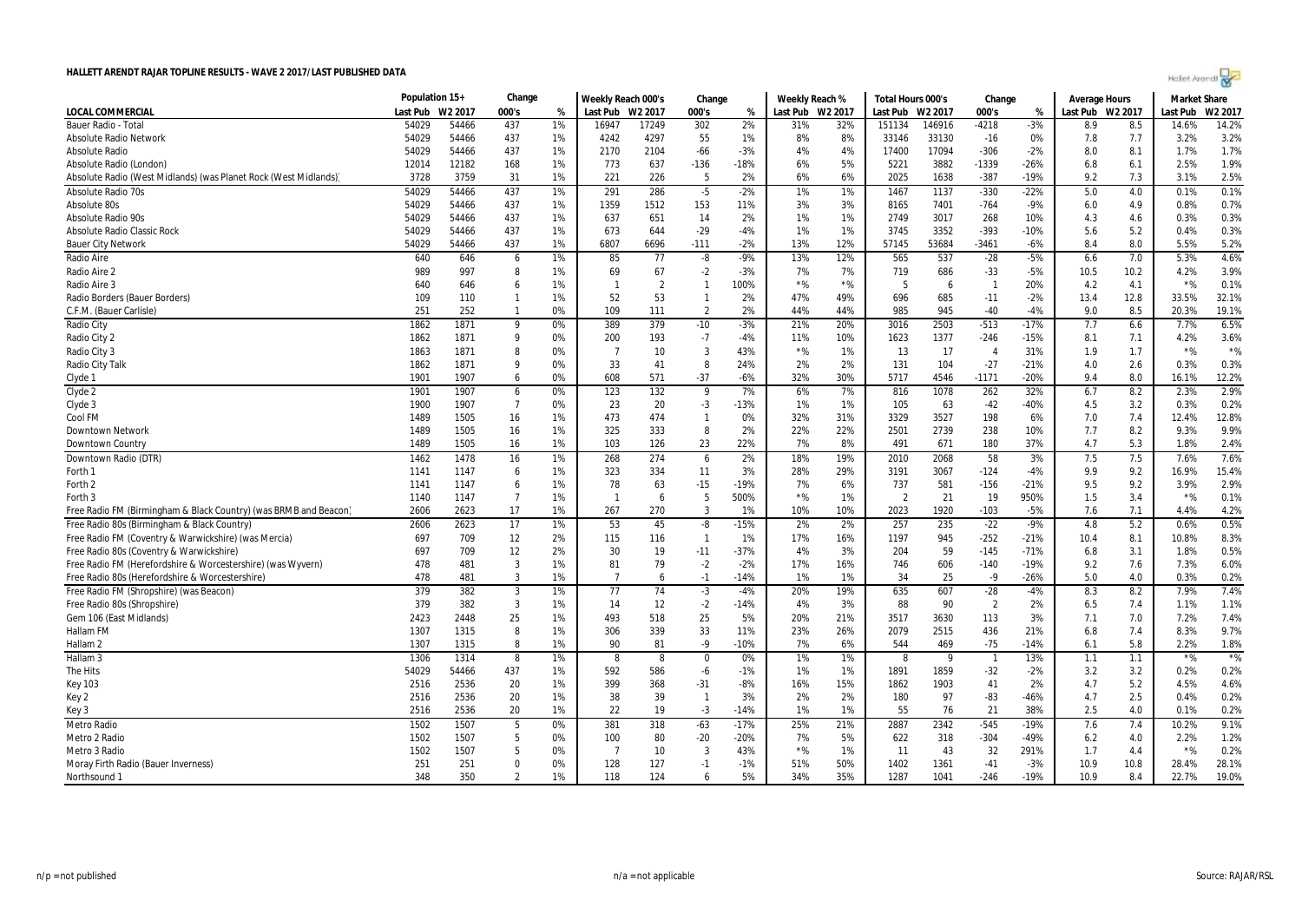| Holet Arendi |  |  |
|--------------|--|--|
|--------------|--|--|

|                                                                 | Population 15+ |                     | Change         |    | Weekly Reach 000's |                | Change         |        | Weekly Reach % |         | Total Hours 000's |        | Change                   |        | <b>Average Hours</b> |      | <b>Market Share</b> |         |
|-----------------------------------------------------------------|----------------|---------------------|----------------|----|--------------------|----------------|----------------|--------|----------------|---------|-------------------|--------|--------------------------|--------|----------------------|------|---------------------|---------|
| <b>LOCAL COMMERCIAL</b>                                         | Last Pub       | W <sub>2</sub> 2017 | 000's          | %  | Last Pub W2 2017   |                | 000's          | %      | Last Pub       | W2 2017 | Last Pub W2 2017  |        | 000's                    | %      | Last Pub W2 2017     |      | ast Pub.            | W2 2017 |
| Bauer Radio - Total                                             | 54029          | 54466               | 437            | 1% | 16947              | 17249          | 302            | 2%     | 31%            | 32%     | 151134            | 146916 | $-4218$                  | $-3%$  | 8.9                  | 8.5  | 14.6%               | 14.2%   |
| <b>Absolute Radio Network</b>                                   | 54029          | 54466               | 437            | 1% | 4242               | 4297           | 55             | 1%     | 8%             | 8%      | 33146             | 33130  | $-16$                    | 0%     | 7.8                  | 7.7  | 3.2%                | 3.2%    |
| <b>Absolute Radio</b>                                           | 54029          | 54466               | 437            | 1% | 2170               | 2104           | -66            | $-3%$  | 4%             | 4%      | 17400             | 17094  | $-306$                   | $-2%$  | 8.0                  | 8.1  | 1.7%                | 1.7%    |
| Absolute Radio (London)                                         | 12014          | 12182               | 168            | 1% | 773                | 637            | $-136$         | -18%   | 6%             | 5%      | 5221              | 3882   | $-1339$                  | -26%   | 6.8                  | 6.1  | 2.5%                | 1.9%    |
| Absolute Radio (West Midlands) (was Planet Rock (West Midlands) | 3728           | 3759                | 31             | 1% | 221                | 226            | 5              | 2%     | 6%             | 6%      | 2025              | 1638   | -387                     | -19%   | 9.2                  | 7.3  | 3.1%                | 2.5%    |
| <b>Absolute Radio 70s</b>                                       | 54029          | 54466               | 437            | 1% | 291                | 286            | $-5$           | $-2%$  | $1\%$          | 1%      | 1467              | 1137   | $-330$                   | $-22%$ | 5.0                  | 4.0  | 0.1%                | 0.1%    |
| Absolute 80s                                                    | 54029          | 54466               | 437            | 1% | 1359               | 1512           | 153            | 11%    | 3%             | 3%      | 8165              | 7401   | $-764$                   | $-9%$  | 6.0                  | 4.9  | 0.8%                | 0.7%    |
| <b>Absolute Radio 90s</b>                                       | 54029          | 54466               | 437            | 1% | 637                | 651            | 14             | 2%     | 1%             | 1%      | 2749              | 3017   | 268                      | 10%    | 4.3                  | 4.6  | 0.3%                | 0.3%    |
| <b>Absolute Radio Classic Rock</b>                              | 54029          | 54466               | 437            | 1% | 673                | 644            | $-29$          | $-4%$  | 1%             | 1%      | 3745              | 3352   | $-393$                   | $-10%$ | 5.6                  | 5.2  | 0.4%                | 0.3%    |
| <b>Bauer City Network</b>                                       | 54029          | 54466               | 437            | 1% | 6807               | 6696           | $-111$         | $-2%$  | 13%            | 12%     | 57145             | 53684  | -3461                    | -6%    | 8.4                  | 8.0  | 5.5%                | 5.2%    |
| Radio Aire                                                      | 640            | 646                 | 6              | 1% | 85                 | 77             | -8             | $-9%$  | 13%            | 12%     | 565               | 537    | $-28$                    | $-5%$  | 6.6                  | 7.0  | 5.3%                | 4.6%    |
| Radio Aire 2                                                    | 989            | 997                 | 8              | 1% | 69                 | 67             | $-2$           | $-3%$  | 7%             | 7%      | 719               | 686    | $-33$                    | $-5%$  | 10.5                 | 10.2 | 4.2%                | 3.9%    |
| Radio Aire 3                                                    | 640            | 646                 | 6              | 1% | $\mathbf{1}$       | $\overline{2}$ | $\mathbf{1}$   | 100%   | $*$ %          | $*$ %   | 5                 | 6      | $\overline{1}$           | 20%    | 4.2                  | 4.1  | $*$ %               | 0.1%    |
| Radio Borders (Bauer Borders)                                   | 109            | 110                 | $\mathbf{1}$   | 1% | 52                 | 53             | $\mathbf{1}$   | 2%     | 47%            | 49%     | 696               | 685    | $-11$                    | $-2%$  | 13.4                 | 12.8 | 33.5%               | 32.1%   |
| C.F.M. (Bauer Carlisle)                                         | 251            | 252                 | $\mathbf{1}$   | 0% | 109                | 111            | $\overline{2}$ | 2%     | 44%            | 44%     | 985               | 945    | $-40$                    | -4%    | 9.0                  | 8.5  | 20.3%               | 19.1%   |
| Radio City                                                      | 1862           | 1871                | 9              | 0% | 389                | 379            | $-10$          | $-3%$  | 21%            | 20%     | 3016              | 2503   | $-513$                   | $-17%$ | 7.7                  | 6.6  | 7.7%                | 6.5%    |
| Radio City 2                                                    | 1862           | 1871                | 9              | 0% | 200                | 193            | $-7$           | $-4%$  | 11%            | 10%     | 1623              | 1377   | $-246$                   | $-15%$ | 8.1                  | 7.1  | 4.2%                | 3.6%    |
| Radio City 3                                                    | 1863           | 1871                | 8              | 0% | - 7                | 10             | 3              | 43%    | $*$ %          | 1%      | 13                | -17    | $\overline{4}$           | 31%    | 1.9                  | 1.7  | $*$ %               | $*$ %   |
| Radio City Talk                                                 | 1862           | 1871                | 9              | 0% | 33                 | 41             | 8              | 24%    | 2%             | 2%      | 131               | 104    | $-27$                    | $-21%$ | 4.0                  | 2.6  | 0.3%                | 0.3%    |
| Clyde 1                                                         | 1901           | 1907                | 6              | 0% | 608                | 571            | $-37$          | $-6%$  | 32%            | 30%     | 5717              | 4546   | $-1171$                  | $-20%$ | 9.4                  | 8.0  | 16.1%               | 12.2%   |
| Clyde 2                                                         | 1901           | 1907                | 6              | 0% | 123                | 132            | 9              | 7%     | 6%             | 7%      | 816               | 1078   | 262                      | 32%    | 6.7                  | 8.2  | 2.3%                | 2.9%    |
|                                                                 | 1900           | 1907                | $\overline{7}$ | 0% | 23                 | 20             | $-3$           | $-13%$ | 1%             | 1%      | 105               | 63     | $-42$                    | -40%   | 4.5                  | 3.2  | 0.3%                | 0.2%    |
| Clyde 3<br>Cool FM                                              | 1489           | 1505                | 16             | 1% | 473                | 474            | $\mathbf{1}$   | 0%     | 32%            | 31%     | 3329              | 3527   | 198                      | 6%     | 7.0                  | 7.4  | 12.4%               | 12.8%   |
|                                                                 |                | 1505                |                | 1% |                    |                | 8              | 2%     | 22%            | 22%     |                   | 2739   |                          | 10%    |                      | 8.2  | 9.3%                | 9.9%    |
| <b>Downtown Network</b><br><b>Downtown Country</b>              | 1489<br>1489   | 1505                | 16<br>16       | 1% | 325<br>103         | 333<br>126     | 23             | 22%    | 7%             | 8%      | 2501<br>491       | 671    | 238<br>180               | 37%    | 7.7<br>4.7           | 5.3  | 1.8%                | 2.4%    |
|                                                                 |                |                     |                |    |                    |                |                |        |                |         |                   |        |                          |        |                      |      |                     |         |
| Downtown Radio (DTR)                                            | 1462           | 1478                | 16             | 1% | 268                | 274            | 6              | 2%     | 18%            | 19%     | 2010              | 2068   | 58                       | 3%     | 7.5                  | 7.5  | 7.6%                | 7.6%    |
| Forth 1                                                         | 1141           | 1147                | 6              | 1% | 323                | 334            | 11             | 3%     | 28%            | 29%     | 3191              | 3067   | $-124$                   | -4%    | 9.9                  | 9.2  | 16.9%               | 15.4%   |
| Forth <sub>2</sub>                                              | 1141           | 1147                | 6              | 1% | 78                 | 63             | $-15$          | $-19%$ | 7%             | 6%      | 737               | 581    | $-156$                   | $-21%$ | 9.5                  | 9.2  | 3.9%                | 2.9%    |
| Forth 3                                                         | 1140           | 1147                | $\overline{7}$ | 1% | -1                 | 6              | 5              | 500%   | $*$ %          | 1%      | $\overline{2}$    | 21     | 19                       | 950%   | 1.5                  | 3.4  | $*$ %               | 0.1%    |
| Free Radio FM (Birmingham & Black Country) (was BRMB and Beacon | 2606           | 2623                | 17             | 1% | 267                | 270            | 3              | 1%     | 10%            | 10%     | 2023              | 1920   | $-103$                   | $-5%$  | 7.6                  | 7.1  | 4.4%                | 4.2%    |
| Free Radio 80s (Birmingham & Black Country)                     | 2606           | 2623                | 17             | 1% | 53                 | 45             | -8             | $-15%$ | 2%             | 2%      | 257               | 235    | $-22$                    | $-9%$  | 4.8                  | 5.2  | 0.6%                | 0.5%    |
| Free Radio FM (Coventry & Warwickshire) (was Mercia)            | 697            | 709                 | 12             | 2% | 115                | 116            | $\overline{1}$ | 1%     | 17%            | 16%     | 1197              | 945    | $-252$                   | $-21%$ | 10.4                 | 8.1  | 10.8%               | 8.3%    |
| Free Radio 80s (Coventry & Warwickshire)                        | 697            | 709                 | 12             | 2% | 30                 | 19             | $-11$          | $-37%$ | 4%             | 3%      | 204               | 59     | $-145$                   | $-71%$ | 6.8                  | 3.1  | 1.8%                | 0.5%    |
| Free Radio FM (Herefordshire & Worcestershire) (was Wyvern)     | 478            | 481                 | 3              | 1% | 81                 | 79             | $-2$           | $-2%$  | 17%            | 16%     | 746               | 606    | $-140$                   | $-19%$ | 9.2                  | 7.6  | 7.3%                | 6.0%    |
| Free Radio 80s (Herefordshire & Worcestershire)                 | 478            | 481                 | 3              | 1% | $\overline{7}$     | 6              | $-1$           | $-14%$ | 1%             | 1%      | 34                | 25     | $-9$                     | $-26%$ | 5.0                  | 4.0  | 0.3%                | 0.2%    |
| Free Radio FM (Shropshire) (was Beacon)                         | 379            | 382                 | 3              | 1% | 77                 | 74             | $-3$           | $-4%$  | 20%            | 19%     | 635               | 607    | $-28$                    | -4%    | 8.3                  | 8.2  | 7.9%                | 7.4%    |
| Free Radio 80s (Shropshire)                                     | 379            | 382                 | 3              | 1% | 14                 | 12             | $-2$           | $-14%$ | 4%             | 3%      | 88                | 90     | $\overline{2}$           | 2%     | 6.5                  | 7.4  | 1.1%                | 1.1%    |
| Gem 106 (East Midlands)                                         | 2423           | 2448                | 25             | 1% | 493                | 518            | 25             | 5%     | 20%            | 21%     | 3517              | 3630   | 113                      | 3%     | 7.1                  | 7.0  | 7.2%                | 7.4%    |
| Hallam FM                                                       | 1307           | 1315                | 8              | 1% | 306                | 339            | 33             | 11%    | 23%            | 26%     | 2079              | 2515   | 436                      | 21%    | 6.8                  | 7.4  | 8.3%                | 9.7%    |
| Hallam <sub>2</sub>                                             | 1307           | 1315                | 8              | 1% | 90                 | 81             | $-9$           | $-10%$ | 7%             | 6%      | 544               | 469    | $-75$                    | $-14%$ | 6.1                  | 5.8  | 2.2%                | 1.8%    |
| Hallam <sub>3</sub>                                             | 1306           | 1314                | 8              | 1% | 8                  | 8              | $\mathbf 0$    | 0%     | 1%             | 1%      | 8                 | - 9    | $\overline{\phantom{0}}$ | 13%    | 1.1                  | 1.1  | $*$ %               | $*$ %   |
| The Hits                                                        | 54029          | 54466               | 437            | 1% | 592                | 586            | -6             | $-1%$  | 1%             | 1%      | 1891              | 1859   | $-32$                    | -2%    | 3.2                  | 3.2  | 0.2%                | 0.2%    |
| <b>Key 103</b>                                                  | 2516           | 2536                | 20             | 1% | 399                | 368            | $-31$          | $-8%$  | 16%            | 15%     | 1862              | 1903   | 41                       | 2%     | 4.7                  | 5.2  | 4.5%                | 4.6%    |
| Key 2                                                           | 2516           | 2536                | 20             | 1% | 38                 | 39             | $\mathbf{1}$   | 3%     | 2%             | 2%      | 180               | 97     | $-83$                    | $-46%$ | 4.7                  | 2.5  | 0.4%                | 0.2%    |
| Key 3                                                           | 2516           | 2536                | 20             | 1% | 22                 | 19             | $-3$           | $-14%$ | 1%             | 1%      | 55                | 76     | 21                       | 38%    | 2.5                  | 4.0  | 0.1%                | 0.2%    |
| Metro Radio                                                     | 1502           | 1507                | 5              | 0% | 381                | 318            | $-63$          | $-17%$ | 25%            | 21%     | 2887              | 2342   | $-545$                   | $-19%$ | 7.6                  | 7.4  | 10.2%               | 9.1%    |
| Metro 2 Radio                                                   | 1502           | 1507                | 5              | 0% | 100                | 80             | $-20$          | $-20%$ | 7%             | 5%      | 622               | 318    | $-304$                   | -49%   | 6.2                  | 4.0  | 2.2%                | 1.2%    |
| Metro 3 Radio                                                   | 1502           | 1507                | 5              | 0% | -7                 | 10             | 3              | 43%    | $*$ %          | 1%      | -11               | 43     | 32                       | 291%   | 1.7                  | 4.4  | $*$ %               | 0.2%    |
| Moray Firth Radio (Bauer Inverness)                             | 251            | 251                 | $\mathbf 0$    | 0% | 128                | 127            | $-1$           | $-1%$  | 51%            | 50%     | 1402              | 1361   | $-41$                    | $-3%$  | 10.9                 | 10.8 | 28.4%               | 28.1%   |
| Northsound 1                                                    | 348            | 350                 | $\overline{2}$ | 1% | 118                | 124            | 6              | 5%     | 34%            | 35%     | 1287              | 1041   | $-246$                   | $-19%$ | 10.9                 | 8.4  | 22.7%               | 19.0%   |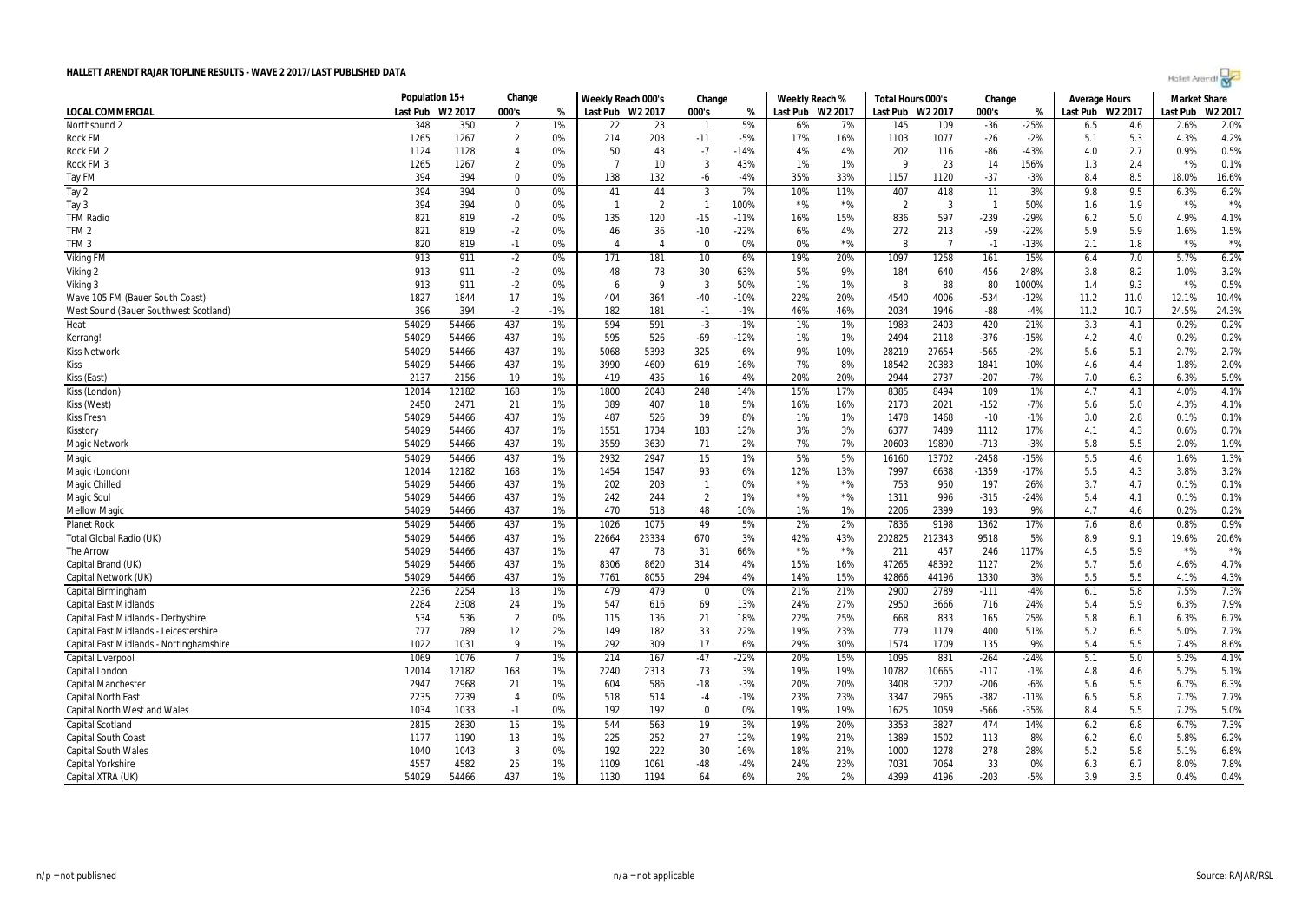| Holet Arendi |  |
|--------------|--|
|--------------|--|

|                                         | Population 15+ |         | Change         |       | Weekly Reach 000's |                | Change         |        | Weekly Reach %   |       | Total Hours 000's |        | Change         |        | Average Hours    |      | <b>Market Share</b> |         |
|-----------------------------------------|----------------|---------|----------------|-------|--------------------|----------------|----------------|--------|------------------|-------|-------------------|--------|----------------|--------|------------------|------|---------------------|---------|
| LOCAL COMMERCIAL                        | Last Pub       | W2 2017 | 000's          | %     | Last Pub W2 2017   |                | 000's          | %      | Last Pub W2 2017 |       | Last Pub W2 2017  |        | 000's          | %      | Last Pub W2 2017 |      | Last Pub            | W2 2017 |
| Northsound 2                            | 348            | 350     | $\overline{2}$ | 1%    | 22                 | 23             | -1             | 5%     | 6%               | 7%    | 145               | 109    | $-36$          | $-25%$ | 6.5              | 4.6  | 2.6%                | 2.0%    |
| <b>Rock FM</b>                          | 1265           | 1267    | $\overline{2}$ | 0%    | 214                | 203            | $-11$          | $-5%$  | 17%              | 16%   | 1103              | 1077   | $-26$          | $-2%$  | 5.1              | 5.3  | 4.3%                | 4.2%    |
| Rock FM <sub>2</sub>                    | 1124           | 1128    | $\overline{4}$ | 0%    | 50                 | 43             | $-7$           | $-14%$ | 4%               | 4%    | 202               | 116    | -86            | $-43%$ | 4.0              | 2.7  | 0.9%                | 0.5%    |
| Rock FM 3                               | 1265           | 1267    | $\overline{2}$ | 0%    | -7                 | 10             | 3              | 43%    | 1%               | 1%    | g                 | 23     | 14             | 156%   | 1.3              | 2.4  | $*$ %               | 0.1%    |
| Tay FM                                  | 394            | 394     | $\Omega$       | 0%    | 138                | 132            | -6             | $-4%$  | 35%              | 33%   | 1157              | 1120   | $-37$          | $-3%$  | 8.4              | 8.5  | 18.0%               | 16.6%   |
| Tay 2                                   | 394            | 394     | 0              | 0%    | 41                 | 44             | 3              | 7%     | 10%              | 11%   | 407               | 418    | 11             | 3%     | 9.8              | 9.5  | 6.3%                | 6.2%    |
| Tay 3                                   | 394            | 394     | $\Omega$       | 0%    | -1                 | $\overline{2}$ | $\overline{1}$ | 100%   | $*$ %            | $*$ % | $\overline{2}$    | 3      | $\overline{1}$ | 50%    | 1.6              | 1.9  | $*$ %               | $*$ %   |
| <b>TFM Radio</b>                        | 821            | 819     | $-2$           | 0%    | 135                | 120            | $-15$          | $-11%$ | 16%              | 15%   | 836               | 597    | $-239$         | $-29%$ | 6.2              | 5.0  | 4.9%                | 4.1%    |
| TFM <sub>2</sub>                        | 821            | 819     | $-2$           | 0%    | 46                 | 36             | $-10$          | $-22%$ | 6%               | 4%    | 272               | 213    | $-59$          | $-22%$ | 5.9              | 5.9  | 1.6%                | 1.5%    |
| TFM <sub>3</sub>                        | 820            | 819     | $-1$           | 0%    | $\overline{4}$     | $\overline{4}$ | $\Omega$       | 0%     | 0%               | $*$ % | 8                 | 7      | $-1$           | $-13%$ | 2.1              | 1.8  | $*$ %               | $*$ %   |
| <b>Viking FM</b>                        | 913            | 911     | $-2$           | 0%    | 171                | 181            | 10             | 6%     | 19%              | 20%   | 1097              | 1258   | 161            | 15%    | 6.4              | 7.0  | 5.7%                | 6.2%    |
| Viking 2                                | 913            | 911     | $-2$           | 0%    | 48                 | 78             | 30             | 63%    | 5%               | 9%    | 184               | 640    | 456            | 248%   | 3.8              | 8.2  | 1.0%                | 3.2%    |
| Viking 3                                | 913            | 911     | $-2$           | 0%    | 6                  | q              | $\overline{3}$ | 50%    | 1%               | 1%    | 8                 | 88     | 80             | 1000%  | 1.4              | 9.3  | $*$ %               | 0.5%    |
| Wave 105 FM (Bauer South Coast)         | 1827           | 1844    | 17             | 1%    | 404                | 364            | $-40$          | $-10%$ | 22%              | 20%   | 4540              | 4006   | $-534$         | $-12%$ | 11.2             | 11.0 | 12.1%               | 10.4%   |
| West Sound (Bauer Southwest Scotland)   | 396            | 394     | $-2$           | $-1%$ | 182                | 181            | $-1$           | $-1%$  | 46%              | 46%   | 2034              | 1946   | -88            | $-4%$  | 11.2             | 10.7 | 24.5%               | 24.3%   |
| Heat                                    | 54029          | 54466   | 437            | 1%    | 594                | 591            | $-3$           | $-1%$  | 1%               | 1%    | 1983              | 2403   | 420            | 21%    | 3.3              | 4.1  | 0.2%                | 0.2%    |
| Kerrang!                                | 54029          | 54466   | 437            | 1%    | 595                | 526            | $-69$          | $-12%$ | 1%               | 1%    | 2494              | 2118   | $-376$         | $-15%$ | 4.2              | 4.0  | 0.2%                | 0.2%    |
| <b>Kiss Network</b>                     | 54029          | 54466   | 437            | 1%    | 5068               | 5393           | 325            | 6%     | 9%               | 10%   | 28219             | 27654  | $-565$         | $-2%$  | 5.6              | 5.1  | 2.7%                | 2.7%    |
| Kiss                                    | 54029          | 54466   | 437            | 1%    | 3990               | 4609           | 619            | 16%    | 7%               | 8%    | 18542             | 20383  | 1841           | 10%    | 4.6              | 4.4  | 1.8%                | 2.0%    |
| Kiss (East)                             | 2137           | 2156    | 19             | 1%    | 419                | 435            | 16             | 4%     | 20%              | 20%   | 2944              | 2737   | $-207$         | $-7%$  | 7.0              | 6.3  | 6.3%                | 5.9%    |
| Kiss (London)                           | 12014          | 12182   | 168            | 1%    | 1800               | 2048           | 248            | 14%    | 15%              | 17%   | 8385              | 8494   | 109            | 1%     | 4.7              | 4.1  | 4.0%                | 4.1%    |
| Kiss (West)                             | 2450           | 2471    | 21             | 1%    | 389                | 407            | 18             | 5%     | 16%              | 16%   | 2173              | 2021   | $-152$         | $-7%$  | 5.6              | 5.0  | 4.3%                | 4.1%    |
| <b>Kiss Fresh</b>                       | 54029          | 54466   | 437            | 1%    | 487                | 526            | 39             | 8%     | 1%               | 1%    | 1478              | 1468   | $-10$          | $-1%$  | 3.0              | 2.8  | 0.1%                | 0.1%    |
| Kisstory                                | 54029          | 54466   | 437            | 1%    | 1551               | 1734           | 183            | 12%    | 3%               | 3%    | 6377              | 7489   | 1112           | 17%    | 4.1              | 4.3  | 0.6%                | 0.7%    |
| <b>Magic Network</b>                    | 54029          | 54466   | 437            | 1%    | 3559               | 3630           | 71             | 2%     | 7%               | 7%    | 20603             | 19890  | $-713$         | $-3%$  | 5.8              | 5.5  | 2.0%                | 1.9%    |
| Magic                                   | 54029          | 54466   | 437            | 1%    | 2932               | 2947           | 15             | 1%     | 5%               | 5%    | 16160             | 13702  | $-2458$        | $-15%$ | 5.5              | 4.6  | 1.6%                | 1.3%    |
| Magic (London                           | 12014          | 12182   | 168            | 1%    | 1454               | 1547           | 93             | 6%     | 12%              | 13%   | 7997              | 6638   | $-1359$        | $-17%$ | 5.5              | 4.3  | 3.8%                | 3.2%    |
| Magic Chilled                           | 54029          | 54466   | 437            | 1%    | 202                | 203            | $\mathbf{1}$   | 0%     | $*$ %            | $*$ % | 753               | 950    | 197            | 26%    | 3.7              | 4.7  | 0.1%                | 0.1%    |
| <b>Magic Soul</b>                       | 54029          | 54466   | 437            | 1%    | 242                | 244            | $\overline{2}$ | 1%     | $*$ %            | $*$ % | 1311              | 996    | $-315$         | $-24%$ | 5.4              | 4.1  | 0.1%                | 0.1%    |
| <b>Mellow Magic</b>                     | 54029          | 54466   | 437            | 1%    | 470                | 518            | 48             | 10%    | 1%               | 1%    | 2206              | 2399   | 193            | 9%     | 4.7              | 4.6  | 0.2%                | 0.2%    |
| <b>Planet Rock</b>                      | 54029          | 54466   | 437            | 1%    | 1026               | 1075           | 49             | 5%     | 2%               | 2%    | 7836              | 9198   | 1362           | 17%    | 7.6              | 8.6  | 0.8%                | 0.9%    |
| Total Global Radio (UK)                 | 54029          | 54466   | 437            | 1%    | 22664              | 23334          | 670            | 3%     | 42%              | 43%   | 202825            | 212343 | 9518           | 5%     | 8.9              | 9.1  | 19.6%               | 20.6%   |
| <b>The Arrow</b>                        | 54029          | 54466   | 437            | 1%    | 47                 | 78             | 31             | 66%    | $*$ %            | $*$ % | 211               | 457    | 246            | 117%   | 4.5              | 5.9  | $*$ %               | $*$ %   |
| Capital Brand (UK)                      | 54029          | 54466   | 437            | 1%    | 8306               | 8620           | 314            | 4%     | 15%              | 16%   | 47265             | 48392  | 1127           | 2%     | 5.7              | 5.6  | 4.6%                | 4.7%    |
| Capital Network (UK)                    | 54029          | 54466   | 437            | 1%    | 7761               | 8055           | 294            | 4%     | 14%              | 15%   | 42866             | 44196  | 1330           | 3%     | 5.5              | 5.5  | 4.1%                | 4.3%    |
| Capital Birmingham                      | 2236           | 2254    | 18             | 1%    | 479                | 479            | $\mathbf 0$    | 0%     | 21%              | 21%   | 2900              | 2789   | $-111$         | $-4%$  | 6.1              | 5.8  | 7.5%                | 7.3%    |
| <b>Capital East Midlands</b>            | 2284           | 2308    | 24             | 1%    | 547                | 616            | 69             | 13%    | 24%              | 27%   | 2950              | 3666   | 716            | 24%    | 5.4              | 5.9  | 6.3%                | 7.9%    |
| Capital East Midlands - Derbyshire      | 534            | 536     | $\overline{2}$ | 0%    | 115                | 136            | 21             | 18%    | 22%              | 25%   | 668               | 833    | 165            | 25%    | 5.8              | 6.1  | 6.3%                | 6.7%    |
| Capital East Midlands - Leicestershire  | 777            | 789     | 12             | 2%    | 149                | 182            | 33             | 22%    | 19%              | 23%   | 779               | 1179   | 400            | 51%    | 5.2              | 6.5  | 5.0%                | 7.7%    |
| Capital East Midlands - Nottinghamshire | 1022           | 1031    | 9              | 1%    | 292                | 309            | 17             | 6%     | 29%              | 30%   | 1574              | 1709   | 135            | 9%     | 5.4              | 5.5  | 7.4%                | 8.6%    |
| Capital Liverpool                       | 1069           | 1076    | $\overline{7}$ | 1%    | 214                | 167            | $-47$          | $-22%$ | 20%              | 15%   | 1095              | 831    | $-264$         | $-24%$ | 5.1              | 5.0  | 5.2%                | 4.1%    |
| Capital London                          | 12014          | 12182   | 168            | 1%    | 2240               | 2313           | 73             | 3%     | 19%              | 19%   | 10782             | 10665  | $-117$         | $-1%$  | 4.8              | 4.6  | 5.2%                | 5.1%    |
| <b>Capital Manchester</b>               | 2947           | 2968    | 21             | 1%    | 604                | 586            | $-18$          | $-3%$  | 20%              | 20%   | 3408              | 3202   | $-206$         | $-6%$  | 5.6              | 5.5  | 6.7%                | 6.3%    |
| <b>Capital North East</b>               | 2235           | 2239    | $\overline{4}$ | 0%    | 518                | 514            | $-4$           | $-1%$  | 23%              | 23%   | 3347              | 2965   | $-382$         | $-11%$ | 6.5              | 5.8  | 7.7%                | 7.7%    |
| <b>Capital North West and Wales</b>     | 1034           | 1033    | $-1$           | 0%    | 192                | 192            | $\Omega$       | 0%     | 19%              | 19%   | 1625              | 1059   | $-566$         | $-35%$ | 8.4              | 5.5  | 7.2%                | 5.0%    |
| <b>Capital Scotland</b>                 | 2815           | 2830    | 15             | 1%    | 544                | 563            | 19             | 3%     | 19%              | 20%   | 3353              | 3827   | 474            | 14%    | 6.2              | 6.8  | 6.7%                | 7.3%    |
| <b>Capital South Coast</b>              | 1177           | 1190    | 13             | 1%    | 225                | 252            | 27             | 12%    | 19%              | 21%   | 1389              | 1502   | 113            | 8%     | 6.2              | 6.0  | 5.8%                | 6.2%    |
| <b>Capital South Wales</b>              | 1040           | 1043    | 3              | 0%    | 192                | 222            | 30             | 16%    | 18%              | 21%   | 1000              | 1278   | 278            | 28%    | 5.2              | 5.8  | 5.1%                | 6.8%    |
| Capital Yorkshire                       | 4557           | 4582    | 25             | 1%    | 1109               | 1061           | $-48$          | -4%    | 24%              | 23%   | 7031              | 7064   | 33             | 0%     | 6.3              | 6.7  | 8.0%                | 7.8%    |
| Capital XTRA (UK)                       | 54029          | 54466   | 437            | 1%    | 1130               | 1194           | 64             | 6%     | 2%               | 2%    | 4399              | 4196   | $-203$         | $-5%$  | 3.9              | 3.5  | 0.4%                | 0.4%    |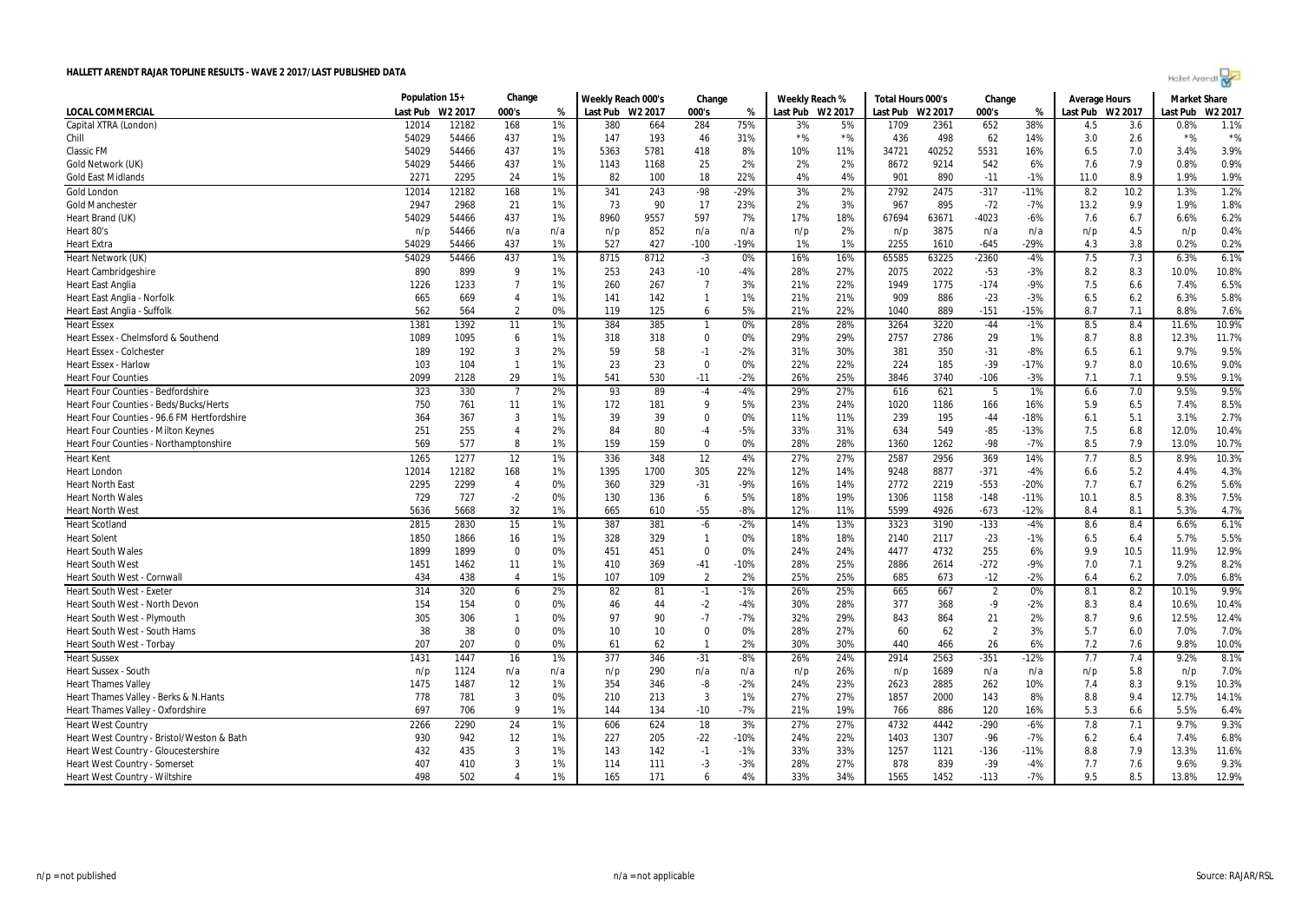| Holet Arendi |  |  |
|--------------|--|--|
|--------------|--|--|

| Last Pub<br>W2 2017<br>000's<br>Last Pub W2 2017<br>000's<br>Last Pub W2 2017<br>000's<br>Last Pub W2 2017<br>Last Pub<br>W2 2017<br>%<br>Last Pub<br>W <sub>2</sub> 2017<br>%<br>%<br>12014<br>75%<br>38%<br>12182<br>168<br>1%<br>380<br>664<br>284<br>5%<br>1709<br>2361<br>652<br>4.5<br>3.6<br>0.8%<br>1.1%<br>3%<br>$*$ %<br>$*$ %<br>54029<br>54466<br>147<br>193<br>$*$ %<br>498<br>62<br>14%<br>$*$ %<br>437<br>1%<br>46<br>31%<br>436<br>3.0<br>2.6<br>54029<br>437<br>1%<br>5363<br>5781<br>418<br>8%<br>40252<br>5531<br>16%<br>7.0<br>3.9%<br>54466<br>10%<br>11%<br>34721<br>6.5<br>3.4%<br>0.9%<br>54029<br>54466<br>437<br>1%<br>25<br>2%<br>2%<br>2%<br>8672<br>9214<br>542<br>7.9<br>0.8%<br>1143<br>1168<br>6%<br>7.6<br>22%<br>1.9%<br>2271<br>2295<br>24<br>1%<br>82<br>100<br>18<br>4%<br>4%<br>901<br>890<br>$-11$<br>$-1%$<br>11.0<br>8.9<br>1.9%<br>12182<br>168<br>$-98$<br>$-29%$<br>3%<br>2%<br>2792<br>2475<br>$-317$<br>10.2<br>1.2%<br>12014<br>1%<br>341<br>243<br>$-11%$<br>8.2<br>1.3%<br>73<br>1.8%<br>2947<br>2968<br>21<br>1%<br>90<br>17<br>23%<br>2%<br>3%<br>967<br>895<br>$-72$<br>$-7%$<br>13.2<br>9.9<br>1.9%<br>7%<br>6.2%<br>54029<br>54466<br>437<br>1%<br>8960<br>9557<br>597<br>17%<br>18%<br>63671<br>$-4023$<br>$-6%$<br>6.7<br>6.6%<br>67694<br>7.6<br>0.4%<br>852<br>2%<br>3875<br>n/a<br>4.5<br>n/p<br>54466<br>n/a<br>n/a<br>n/p<br>n/a<br>n/a<br>n/p<br>n/p<br>n/a<br>n/p<br>n/p<br>0.2%<br>54029<br>437<br>1%<br>527<br>427<br>$-100$<br>$-19%$<br>1%<br>1%<br>2255<br>$-645$<br>$-29%$<br>3.8<br>0.2%<br>54466<br>1610<br>4.3<br>6.1%<br>437<br>8712<br>63225<br>$-2360$<br>7.5<br>7.3<br>54029<br>54466<br>1%<br>8715<br>$-3$<br>0%<br>16%<br>16%<br>65585<br>$-4%$<br>6.3%<br>2022<br>10.8%<br><b>Heart Cambridgeshire</b><br>890<br>899<br>9<br>1%<br>253<br>243<br>$-10$<br>-4%<br>28%<br>27%<br>2075<br>$-53$<br>$-3%$<br>8.2<br>8.3<br>10.0%<br>1226<br>1233<br>$\overline{7}$<br>3%<br>22%<br>1775<br>7.5<br>6.5%<br>1%<br>260<br>267<br>$\overline{7}$<br>21%<br>1949<br>$-174$<br>$-9%$<br>6.6<br>7.4%<br>886<br>5.8%<br>665<br>669<br>$\overline{4}$<br>1%<br>141<br>142<br>$\overline{1}$<br>1%<br>21%<br>21%<br>909<br>$-23$<br>$-3%$<br>6.5<br>6.2<br>6.3%<br>5%<br>22%<br>7.1<br>562<br>$\overline{2}$<br>0%<br>119<br>125<br>21%<br>1040<br>889<br>$-151$<br>$-15%$<br>8.7<br>8.8%<br>7.6%<br>564<br>6<br>10.9%<br>384<br>385<br>28%<br>3220<br>$-44$<br>8.4<br>1381<br>1392<br>11<br>1%<br>0%<br>28%<br>3264<br>$-1%$<br>8.5<br>11.6%<br>$\mathbf{1}$<br>6<br>$\mathbf 0$<br>0%<br>29%<br>29%<br>2786<br>29<br>8.8<br>11.7%<br>Heart Essex - Chelmsford & Southend<br>1089<br>1095<br>1%<br>318<br>318<br>2757<br>1%<br>8.7<br>12.3%<br>9.5%<br>189<br>192<br>3<br>2%<br>59<br>58<br>$-2%$<br>31%<br>30%<br>381<br>350<br>$-31$<br>$-8%$<br>9.7%<br>$-1$<br>6.5<br>6.1<br>23<br>23<br>$\mathbf 0$<br>0%<br>22%<br>22%<br>185<br>$-39$<br>9.7<br>8.0<br>9.0%<br><b>Heart Essex - Harlow</b><br>103<br>104<br>$\mathbf{1}$<br>1%<br>224<br>$-17%$<br>10.6%<br>25%<br>9.1%<br><b>Heart Four Counties</b><br>2099<br>2128<br>29<br>1%<br>541<br>530<br>$-11$<br>-2%<br>26%<br>3846<br>3740<br>$-106$<br>$-3%$<br>7.1<br>7.1<br>9.5%<br>9.5%<br>323<br>330<br>2%<br>93<br>89<br>$-4%$<br>29%<br>27%<br>621<br>1%<br>7.0<br>9.5%<br>$\overline{7}$<br>$-4$<br>616<br>5<br>6.6<br>Heart Four Counties - Bedfordshire<br>8.5%<br>6.5<br>Heart Four Counties - Beds/Bucks/Herts<br>750<br>1%<br>172<br>9<br>5%<br>23%<br>24%<br>1020<br>1186<br>16%<br>5.9<br>7.4%<br>761<br>11<br>181<br>166<br>2.7%<br>Heart Four Counties - 96.6 FM Hertfordshire<br>364<br>367<br>3<br>1%<br>39<br>39<br>$\Omega$<br>0%<br>11%<br>11%<br>239<br>195<br>$-44$<br>$-18%$<br>5.1<br>3.1%<br>6.1<br>251<br>255<br>$\overline{4}$<br>2%<br>84<br>80<br>$-5%$<br>33%<br>31%<br>634<br>549<br>$-85$<br>$-13%$<br>7.5<br>6.8<br>12.0%<br>10.4%<br><b>Heart Four Counties - Milton Keynes</b><br>$-4$<br>569<br>577<br>8<br>1%<br>159<br>159<br>0%<br>28%<br>28%<br>1360<br>1262<br>$-98$<br>$-7%$<br>8.5<br>7.9<br>13.0%<br>10.7%<br>$\Omega$<br>10.3%<br>1265<br>1277<br>12<br>1%<br>336<br>12<br>4%<br>27%<br>2587<br>2956<br>369<br>14%<br>7.7<br>8.5<br>8.9%<br><b>Heart Kent</b><br>348<br>27%<br>12014<br>12182<br>1395<br>1700<br>305<br>22%<br>14%<br>8877<br>$-371$<br>5.2<br>4.3%<br>168<br>1%<br>12%<br>9248<br>$-4%$<br>4.4%<br><b>Heart London</b><br>6.6<br>2299<br>2219<br>$-553$<br>5.6%<br><b>Heart North East</b><br>2295<br>$\overline{4}$<br>0%<br>360<br>329<br>$-31$<br>$-9%$<br>16%<br>14%<br>2772<br>$-20%$<br>7.7<br>6.7<br>6.2%<br>7.5%<br>19%<br>1158<br>8.5<br><b>Heart North Wales</b><br>729<br>727<br>$-2$<br>0%<br>130<br>136<br>6<br>5%<br>18%<br>1306<br>$-148$<br>$-11%$<br>10.1<br>8.3%<br>$-55$<br>$-8%$<br>12%<br>4926<br>$-12%$<br>5.3%<br>4.7%<br>5636<br>5668<br>32<br>1%<br>665<br>11%<br>5599<br>$-673$<br>8.4<br>8.1<br>610<br>15<br>6.1%<br>2815<br>2830<br>1%<br>387<br>381<br>$-6$<br>$-2%$<br>14%<br>13%<br>3323<br>3190<br>$-133$<br>8.4<br><b>Heart Scotland</b><br>$-4%$<br>8.6<br>6.6%<br>1850<br>1866<br>328<br>329<br>$\overline{1}$<br>0%<br>18%<br>18%<br>2117<br>$-23$<br>5.7%<br>5.5%<br><b>Heart Solent</b><br>16<br>1%<br>2140<br>$-1%$<br>6.5<br>6.4<br>1899<br>$\mathbf 0$<br>0%<br>451<br>$\mathbf 0$<br>0%<br>24%<br>4732<br>255<br>10.5<br>11.9%<br>12.9%<br><b>Heart South Wales</b><br>1899<br>451<br>24%<br>4477<br>6%<br>9.9<br>25%<br>$-272$<br>8.2%<br><b>Heart South West</b><br>1451<br>1462<br>11<br>1%<br>410<br>369<br>$-41$<br>$-10%$<br>28%<br>2886<br>2614<br>$-9%$<br>7.0<br>7.1<br>9.2%<br>1%<br>107<br>109<br>$\overline{2}$<br>2%<br>25%<br>25%<br>673<br>$-12$<br>$-2%$<br>6.2<br>7.0%<br>6.8%<br>Heart South West - Cornwall<br>434<br>438<br>$\overline{4}$<br>685<br>6.4<br>9.9%<br><b>Heart South West - Exeter</b><br>314<br>320<br>82<br>25%<br>667<br>8.2<br>2%<br>81<br>$-1%$<br>26%<br>665<br>0%<br>8.1<br>10.1%<br>6<br>$-1$<br>$\overline{2}$<br>Heart South West - North Devon<br>154<br>154<br>$\Omega$<br>0%<br>46<br>44<br>$-2$<br>$-4%$<br>30%<br>28%<br>377<br>368<br>$-9$<br>$-2%$<br>8.3<br>8.4<br>10.6%<br>10.4%<br>12.4%<br>Heart South West - Plymouth<br>305<br>306<br>97<br>90<br>$-7$<br>32%<br>29%<br>843<br>864<br>21<br>8.7<br>9.6<br>12.5%<br>0%<br>$-7%$<br>2%<br>$\mathbf{1}$<br>38<br>27%<br>7.0%<br>Heart South West - South Hams<br>38<br>$\mathbf 0$<br>0%<br>10<br>$\mathbf 0$<br>0%<br>28%<br>60<br>62<br>$\overline{2}$<br>3%<br>5.7<br>6.0<br>7.0%<br>10<br>Heart South West - Torbay<br>207<br>207<br>$\Omega$<br>0%<br>62<br>2%<br>30%<br>30%<br>440<br>26<br>6%<br>7.2<br>7.6<br>9.8%<br>10.0%<br>61<br>$\mathbf{1}$<br>466<br>8.1%<br><b>Heart Sussex</b><br>1431<br>1447<br>16<br>1%<br>377<br>346<br>$-31$<br>$-8%$<br>26%<br>24%<br>2914<br>2563<br>$-351$<br>$-12%$<br>7.7<br>7.4<br>9.2%<br>5.8<br>7.0%<br>Heart Sussex - South<br>n/p<br>1124<br>290<br>n/a<br>26%<br>1689<br>n/a<br>n/a<br>n/a<br>n/p<br>n/a<br>n/p<br>n/p<br>n/a<br>n/p<br>n/p<br>-8<br>23%<br>2885<br>10.3%<br>1475<br>1487<br>12<br>1%<br>354<br>346<br>$-2%$<br>24%<br>2623<br>262<br>10%<br>7.4<br>8.3<br>9.1%<br><b>Heart Thames Valley</b><br>$\overline{3}$<br>$\overline{3}$<br>1%<br>27%<br>2000<br>9.4<br>14.1%<br>778<br>781<br>0%<br>210<br>213<br>27%<br>1857<br>143<br>8%<br>8.8<br>12.7%<br>Heart Thames Valley - Berks & N.Hants<br>Heart Thames Valley - Oxfordshire<br>697<br>706<br>9<br>1%<br>144<br>134<br>$-10$<br>$-7%$<br>21%<br>19%<br>886<br>120<br>16%<br>5.3<br>5.5%<br>6.4%<br>766<br>6.6<br>2266<br>2290<br>24<br>624<br>18<br>3%<br>27%<br>4732<br>4442<br>$-290$<br>7.8<br>9.3%<br><b>Heart West Country</b><br>1%<br>606<br>27%<br>$-6%$<br>7.1<br>9.7%<br>6.8%<br>930<br>942<br>12<br>227<br>205<br>$-22$<br>24%<br>22%<br>1307<br>$-96$<br>Heart West Country - Bristol/Weston & Bath<br>1%<br>$-10%$<br>1403<br>$-7%$<br>6.2<br>6.4<br>7.4%<br>3<br>33%<br>11.6%<br>Heart West Country - Gloucestershire<br>432<br>435<br>1%<br>143<br>142<br>$-1$<br>$-1%$<br>33%<br>1257<br>1121<br>$-136$<br>$-11%$<br>8.8<br>7.9<br>13.3%<br>839<br>9.3%<br>407<br>3<br>1%<br>$-3$<br>$-3%$<br>28%<br>27%<br>878<br>$-39$<br>$-4%$<br>7.6<br>9.6%<br>Heart West Country - Somerset<br>410<br>114<br>111<br>7.7 |                                        | Population 15+ | Change | Weekly Reach 000's | Change | Weekly Reach % | Total Hours 000's | Change | <b>Average Hours</b> | <b>Market Share</b> |  |
|-------------------------------------------------------------------------------------------------------------------------------------------------------------------------------------------------------------------------------------------------------------------------------------------------------------------------------------------------------------------------------------------------------------------------------------------------------------------------------------------------------------------------------------------------------------------------------------------------------------------------------------------------------------------------------------------------------------------------------------------------------------------------------------------------------------------------------------------------------------------------------------------------------------------------------------------------------------------------------------------------------------------------------------------------------------------------------------------------------------------------------------------------------------------------------------------------------------------------------------------------------------------------------------------------------------------------------------------------------------------------------------------------------------------------------------------------------------------------------------------------------------------------------------------------------------------------------------------------------------------------------------------------------------------------------------------------------------------------------------------------------------------------------------------------------------------------------------------------------------------------------------------------------------------------------------------------------------------------------------------------------------------------------------------------------------------------------------------------------------------------------------------------------------------------------------------------------------------------------------------------------------------------------------------------------------------------------------------------------------------------------------------------------------------------------------------------------------------------------------------------------------------------------------------------------------------------------------------------------------------------------------------------------------------------------------------------------------------------------------------------------------------------------------------------------------------------------------------------------------------------------------------------------------------------------------------------------------------------------------------------------------------------------------------------------------------------------------------------------------------------------------------------------------------------------------------------------------------------------------------------------------------------------------------------------------------------------------------------------------------------------------------------------------------------------------------------------------------------------------------------------------------------------------------------------------------------------------------------------------------------------------------------------------------------------------------------------------------------------------------------------------------------------------------------------------------------------------------------------------------------------------------------------------------------------------------------------------------------------------------------------------------------------------------------------------------------------------------------------------------------------------------------------------------------------------------------------------------------------------------------------------------------------------------------------------------------------------------------------------------------------------------------------------------------------------------------------------------------------------------------------------------------------------------------------------------------------------------------------------------------------------------------------------------------------------------------------------------------------------------------------------------------------------------------------------------------------------------------------------------------------------------------------------------------------------------------------------------------------------------------------------------------------------------------------------------------------------------------------------------------------------------------------------------------------------------------------------------------------------------------------------------------------------------------------------------------------------------------------------------------------------------------------------------------------------------------------------------------------------------------------------------------------------------------------------------------------------------------------------------------------------------------------------------------------------------------------------------------------------------------------------------------------------------------------------------------------------------------------------------------------------------------------------------------------------------------------------------------------------------------------------------------------------------------------------------------------------------------------------------------------------------------------------------------------------------------------------------------------------------------------------------------------------------------------------------------------------------------------------------------------------------------------------------------------------------------------------------------------------------------------------------------------------------------------------------------------------------------------------------------------------------------------------------------------------------------------------------------------------------------------------------------------------------------------------------------------------------------------------------------------------------------------------------------------------------------------------------------------------------------------------------------------------------------------------------------------------------------------------------------------------------------------------------------------------------------------------------------------------------------------------------------------------------------------------------------------------------------------------------------------------------------------------------------------------------------------------------------------------------------------------------------------------------------------------------------------------------------------------------------------------------------------------------------------------------------------------------------------------------------------------------------------------------------------------------------------------------------------------------------------------------------------------------------------------------------------------------------------------------------------------------------------------------------------------------------------------------------------------------------------------------------------------------------------------------------------------------------------------------------------------------------------------------|----------------------------------------|----------------|--------|--------------------|--------|----------------|-------------------|--------|----------------------|---------------------|--|
|                                                                                                                                                                                                                                                                                                                                                                                                                                                                                                                                                                                                                                                                                                                                                                                                                                                                                                                                                                                                                                                                                                                                                                                                                                                                                                                                                                                                                                                                                                                                                                                                                                                                                                                                                                                                                                                                                                                                                                                                                                                                                                                                                                                                                                                                                                                                                                                                                                                                                                                                                                                                                                                                                                                                                                                                                                                                                                                                                                                                                                                                                                                                                                                                                                                                                                                                                                                                                                                                                                                                                                                                                                                                                                                                                                                                                                                                                                                                                                                                                                                                                                                                                                                                                                                                                                                                                                                                                                                                                                                                                                                                                                                                                                                                                                                                                                                                                                                                                                                                                                                                                                                                                                                                                                                                                                                                                                                                                                                                                                                                                                                                                                                                                                                                                                                                                                                                                                                                                                                                                                                                                                                                                                                                                                                                                                                                                                                                                                                                                                                                                                                                                                                                                                                                                                                                                                                                                                                                                                                                                                                                                                                                                                                                                                                                                                                                                                                                                                                                                                                                                                                                                                                                                                                                                                                                                                                                                                                                                                                                                                                                                                                                                                                                                                                                                           | LOCAL COMMERCIAL                       |                |        |                    |        |                |                   |        |                      |                     |  |
|                                                                                                                                                                                                                                                                                                                                                                                                                                                                                                                                                                                                                                                                                                                                                                                                                                                                                                                                                                                                                                                                                                                                                                                                                                                                                                                                                                                                                                                                                                                                                                                                                                                                                                                                                                                                                                                                                                                                                                                                                                                                                                                                                                                                                                                                                                                                                                                                                                                                                                                                                                                                                                                                                                                                                                                                                                                                                                                                                                                                                                                                                                                                                                                                                                                                                                                                                                                                                                                                                                                                                                                                                                                                                                                                                                                                                                                                                                                                                                                                                                                                                                                                                                                                                                                                                                                                                                                                                                                                                                                                                                                                                                                                                                                                                                                                                                                                                                                                                                                                                                                                                                                                                                                                                                                                                                                                                                                                                                                                                                                                                                                                                                                                                                                                                                                                                                                                                                                                                                                                                                                                                                                                                                                                                                                                                                                                                                                                                                                                                                                                                                                                                                                                                                                                                                                                                                                                                                                                                                                                                                                                                                                                                                                                                                                                                                                                                                                                                                                                                                                                                                                                                                                                                                                                                                                                                                                                                                                                                                                                                                                                                                                                                                                                                                                                                           | Capital XTRA (London)                  |                |        |                    |        |                |                   |        |                      |                     |  |
|                                                                                                                                                                                                                                                                                                                                                                                                                                                                                                                                                                                                                                                                                                                                                                                                                                                                                                                                                                                                                                                                                                                                                                                                                                                                                                                                                                                                                                                                                                                                                                                                                                                                                                                                                                                                                                                                                                                                                                                                                                                                                                                                                                                                                                                                                                                                                                                                                                                                                                                                                                                                                                                                                                                                                                                                                                                                                                                                                                                                                                                                                                                                                                                                                                                                                                                                                                                                                                                                                                                                                                                                                                                                                                                                                                                                                                                                                                                                                                                                                                                                                                                                                                                                                                                                                                                                                                                                                                                                                                                                                                                                                                                                                                                                                                                                                                                                                                                                                                                                                                                                                                                                                                                                                                                                                                                                                                                                                                                                                                                                                                                                                                                                                                                                                                                                                                                                                                                                                                                                                                                                                                                                                                                                                                                                                                                                                                                                                                                                                                                                                                                                                                                                                                                                                                                                                                                                                                                                                                                                                                                                                                                                                                                                                                                                                                                                                                                                                                                                                                                                                                                                                                                                                                                                                                                                                                                                                                                                                                                                                                                                                                                                                                                                                                                                                           | Chill                                  |                |        |                    |        |                |                   |        |                      |                     |  |
|                                                                                                                                                                                                                                                                                                                                                                                                                                                                                                                                                                                                                                                                                                                                                                                                                                                                                                                                                                                                                                                                                                                                                                                                                                                                                                                                                                                                                                                                                                                                                                                                                                                                                                                                                                                                                                                                                                                                                                                                                                                                                                                                                                                                                                                                                                                                                                                                                                                                                                                                                                                                                                                                                                                                                                                                                                                                                                                                                                                                                                                                                                                                                                                                                                                                                                                                                                                                                                                                                                                                                                                                                                                                                                                                                                                                                                                                                                                                                                                                                                                                                                                                                                                                                                                                                                                                                                                                                                                                                                                                                                                                                                                                                                                                                                                                                                                                                                                                                                                                                                                                                                                                                                                                                                                                                                                                                                                                                                                                                                                                                                                                                                                                                                                                                                                                                                                                                                                                                                                                                                                                                                                                                                                                                                                                                                                                                                                                                                                                                                                                                                                                                                                                                                                                                                                                                                                                                                                                                                                                                                                                                                                                                                                                                                                                                                                                                                                                                                                                                                                                                                                                                                                                                                                                                                                                                                                                                                                                                                                                                                                                                                                                                                                                                                                                                           | Classic FM                             |                |        |                    |        |                |                   |        |                      |                     |  |
|                                                                                                                                                                                                                                                                                                                                                                                                                                                                                                                                                                                                                                                                                                                                                                                                                                                                                                                                                                                                                                                                                                                                                                                                                                                                                                                                                                                                                                                                                                                                                                                                                                                                                                                                                                                                                                                                                                                                                                                                                                                                                                                                                                                                                                                                                                                                                                                                                                                                                                                                                                                                                                                                                                                                                                                                                                                                                                                                                                                                                                                                                                                                                                                                                                                                                                                                                                                                                                                                                                                                                                                                                                                                                                                                                                                                                                                                                                                                                                                                                                                                                                                                                                                                                                                                                                                                                                                                                                                                                                                                                                                                                                                                                                                                                                                                                                                                                                                                                                                                                                                                                                                                                                                                                                                                                                                                                                                                                                                                                                                                                                                                                                                                                                                                                                                                                                                                                                                                                                                                                                                                                                                                                                                                                                                                                                                                                                                                                                                                                                                                                                                                                                                                                                                                                                                                                                                                                                                                                                                                                                                                                                                                                                                                                                                                                                                                                                                                                                                                                                                                                                                                                                                                                                                                                                                                                                                                                                                                                                                                                                                                                                                                                                                                                                                                                           | Gold Network (UK)                      |                |        |                    |        |                |                   |        |                      |                     |  |
|                                                                                                                                                                                                                                                                                                                                                                                                                                                                                                                                                                                                                                                                                                                                                                                                                                                                                                                                                                                                                                                                                                                                                                                                                                                                                                                                                                                                                                                                                                                                                                                                                                                                                                                                                                                                                                                                                                                                                                                                                                                                                                                                                                                                                                                                                                                                                                                                                                                                                                                                                                                                                                                                                                                                                                                                                                                                                                                                                                                                                                                                                                                                                                                                                                                                                                                                                                                                                                                                                                                                                                                                                                                                                                                                                                                                                                                                                                                                                                                                                                                                                                                                                                                                                                                                                                                                                                                                                                                                                                                                                                                                                                                                                                                                                                                                                                                                                                                                                                                                                                                                                                                                                                                                                                                                                                                                                                                                                                                                                                                                                                                                                                                                                                                                                                                                                                                                                                                                                                                                                                                                                                                                                                                                                                                                                                                                                                                                                                                                                                                                                                                                                                                                                                                                                                                                                                                                                                                                                                                                                                                                                                                                                                                                                                                                                                                                                                                                                                                                                                                                                                                                                                                                                                                                                                                                                                                                                                                                                                                                                                                                                                                                                                                                                                                                                           | <b>Gold East Midlands</b>              |                |        |                    |        |                |                   |        |                      |                     |  |
|                                                                                                                                                                                                                                                                                                                                                                                                                                                                                                                                                                                                                                                                                                                                                                                                                                                                                                                                                                                                                                                                                                                                                                                                                                                                                                                                                                                                                                                                                                                                                                                                                                                                                                                                                                                                                                                                                                                                                                                                                                                                                                                                                                                                                                                                                                                                                                                                                                                                                                                                                                                                                                                                                                                                                                                                                                                                                                                                                                                                                                                                                                                                                                                                                                                                                                                                                                                                                                                                                                                                                                                                                                                                                                                                                                                                                                                                                                                                                                                                                                                                                                                                                                                                                                                                                                                                                                                                                                                                                                                                                                                                                                                                                                                                                                                                                                                                                                                                                                                                                                                                                                                                                                                                                                                                                                                                                                                                                                                                                                                                                                                                                                                                                                                                                                                                                                                                                                                                                                                                                                                                                                                                                                                                                                                                                                                                                                                                                                                                                                                                                                                                                                                                                                                                                                                                                                                                                                                                                                                                                                                                                                                                                                                                                                                                                                                                                                                                                                                                                                                                                                                                                                                                                                                                                                                                                                                                                                                                                                                                                                                                                                                                                                                                                                                                                           | Gold London                            |                |        |                    |        |                |                   |        |                      |                     |  |
|                                                                                                                                                                                                                                                                                                                                                                                                                                                                                                                                                                                                                                                                                                                                                                                                                                                                                                                                                                                                                                                                                                                                                                                                                                                                                                                                                                                                                                                                                                                                                                                                                                                                                                                                                                                                                                                                                                                                                                                                                                                                                                                                                                                                                                                                                                                                                                                                                                                                                                                                                                                                                                                                                                                                                                                                                                                                                                                                                                                                                                                                                                                                                                                                                                                                                                                                                                                                                                                                                                                                                                                                                                                                                                                                                                                                                                                                                                                                                                                                                                                                                                                                                                                                                                                                                                                                                                                                                                                                                                                                                                                                                                                                                                                                                                                                                                                                                                                                                                                                                                                                                                                                                                                                                                                                                                                                                                                                                                                                                                                                                                                                                                                                                                                                                                                                                                                                                                                                                                                                                                                                                                                                                                                                                                                                                                                                                                                                                                                                                                                                                                                                                                                                                                                                                                                                                                                                                                                                                                                                                                                                                                                                                                                                                                                                                                                                                                                                                                                                                                                                                                                                                                                                                                                                                                                                                                                                                                                                                                                                                                                                                                                                                                                                                                                                                           | <b>Gold Manchester</b>                 |                |        |                    |        |                |                   |        |                      |                     |  |
|                                                                                                                                                                                                                                                                                                                                                                                                                                                                                                                                                                                                                                                                                                                                                                                                                                                                                                                                                                                                                                                                                                                                                                                                                                                                                                                                                                                                                                                                                                                                                                                                                                                                                                                                                                                                                                                                                                                                                                                                                                                                                                                                                                                                                                                                                                                                                                                                                                                                                                                                                                                                                                                                                                                                                                                                                                                                                                                                                                                                                                                                                                                                                                                                                                                                                                                                                                                                                                                                                                                                                                                                                                                                                                                                                                                                                                                                                                                                                                                                                                                                                                                                                                                                                                                                                                                                                                                                                                                                                                                                                                                                                                                                                                                                                                                                                                                                                                                                                                                                                                                                                                                                                                                                                                                                                                                                                                                                                                                                                                                                                                                                                                                                                                                                                                                                                                                                                                                                                                                                                                                                                                                                                                                                                                                                                                                                                                                                                                                                                                                                                                                                                                                                                                                                                                                                                                                                                                                                                                                                                                                                                                                                                                                                                                                                                                                                                                                                                                                                                                                                                                                                                                                                                                                                                                                                                                                                                                                                                                                                                                                                                                                                                                                                                                                                                           | Heart Brand (UK)                       |                |        |                    |        |                |                   |        |                      |                     |  |
|                                                                                                                                                                                                                                                                                                                                                                                                                                                                                                                                                                                                                                                                                                                                                                                                                                                                                                                                                                                                                                                                                                                                                                                                                                                                                                                                                                                                                                                                                                                                                                                                                                                                                                                                                                                                                                                                                                                                                                                                                                                                                                                                                                                                                                                                                                                                                                                                                                                                                                                                                                                                                                                                                                                                                                                                                                                                                                                                                                                                                                                                                                                                                                                                                                                                                                                                                                                                                                                                                                                                                                                                                                                                                                                                                                                                                                                                                                                                                                                                                                                                                                                                                                                                                                                                                                                                                                                                                                                                                                                                                                                                                                                                                                                                                                                                                                                                                                                                                                                                                                                                                                                                                                                                                                                                                                                                                                                                                                                                                                                                                                                                                                                                                                                                                                                                                                                                                                                                                                                                                                                                                                                                                                                                                                                                                                                                                                                                                                                                                                                                                                                                                                                                                                                                                                                                                                                                                                                                                                                                                                                                                                                                                                                                                                                                                                                                                                                                                                                                                                                                                                                                                                                                                                                                                                                                                                                                                                                                                                                                                                                                                                                                                                                                                                                                                           | Heart 80's                             |                |        |                    |        |                |                   |        |                      |                     |  |
|                                                                                                                                                                                                                                                                                                                                                                                                                                                                                                                                                                                                                                                                                                                                                                                                                                                                                                                                                                                                                                                                                                                                                                                                                                                                                                                                                                                                                                                                                                                                                                                                                                                                                                                                                                                                                                                                                                                                                                                                                                                                                                                                                                                                                                                                                                                                                                                                                                                                                                                                                                                                                                                                                                                                                                                                                                                                                                                                                                                                                                                                                                                                                                                                                                                                                                                                                                                                                                                                                                                                                                                                                                                                                                                                                                                                                                                                                                                                                                                                                                                                                                                                                                                                                                                                                                                                                                                                                                                                                                                                                                                                                                                                                                                                                                                                                                                                                                                                                                                                                                                                                                                                                                                                                                                                                                                                                                                                                                                                                                                                                                                                                                                                                                                                                                                                                                                                                                                                                                                                                                                                                                                                                                                                                                                                                                                                                                                                                                                                                                                                                                                                                                                                                                                                                                                                                                                                                                                                                                                                                                                                                                                                                                                                                                                                                                                                                                                                                                                                                                                                                                                                                                                                                                                                                                                                                                                                                                                                                                                                                                                                                                                                                                                                                                                                                           | <b>Heart Extra</b>                     |                |        |                    |        |                |                   |        |                      |                     |  |
|                                                                                                                                                                                                                                                                                                                                                                                                                                                                                                                                                                                                                                                                                                                                                                                                                                                                                                                                                                                                                                                                                                                                                                                                                                                                                                                                                                                                                                                                                                                                                                                                                                                                                                                                                                                                                                                                                                                                                                                                                                                                                                                                                                                                                                                                                                                                                                                                                                                                                                                                                                                                                                                                                                                                                                                                                                                                                                                                                                                                                                                                                                                                                                                                                                                                                                                                                                                                                                                                                                                                                                                                                                                                                                                                                                                                                                                                                                                                                                                                                                                                                                                                                                                                                                                                                                                                                                                                                                                                                                                                                                                                                                                                                                                                                                                                                                                                                                                                                                                                                                                                                                                                                                                                                                                                                                                                                                                                                                                                                                                                                                                                                                                                                                                                                                                                                                                                                                                                                                                                                                                                                                                                                                                                                                                                                                                                                                                                                                                                                                                                                                                                                                                                                                                                                                                                                                                                                                                                                                                                                                                                                                                                                                                                                                                                                                                                                                                                                                                                                                                                                                                                                                                                                                                                                                                                                                                                                                                                                                                                                                                                                                                                                                                                                                                                                           | Heart Network (UK)                     |                |        |                    |        |                |                   |        |                      |                     |  |
|                                                                                                                                                                                                                                                                                                                                                                                                                                                                                                                                                                                                                                                                                                                                                                                                                                                                                                                                                                                                                                                                                                                                                                                                                                                                                                                                                                                                                                                                                                                                                                                                                                                                                                                                                                                                                                                                                                                                                                                                                                                                                                                                                                                                                                                                                                                                                                                                                                                                                                                                                                                                                                                                                                                                                                                                                                                                                                                                                                                                                                                                                                                                                                                                                                                                                                                                                                                                                                                                                                                                                                                                                                                                                                                                                                                                                                                                                                                                                                                                                                                                                                                                                                                                                                                                                                                                                                                                                                                                                                                                                                                                                                                                                                                                                                                                                                                                                                                                                                                                                                                                                                                                                                                                                                                                                                                                                                                                                                                                                                                                                                                                                                                                                                                                                                                                                                                                                                                                                                                                                                                                                                                                                                                                                                                                                                                                                                                                                                                                                                                                                                                                                                                                                                                                                                                                                                                                                                                                                                                                                                                                                                                                                                                                                                                                                                                                                                                                                                                                                                                                                                                                                                                                                                                                                                                                                                                                                                                                                                                                                                                                                                                                                                                                                                                                                           |                                        |                |        |                    |        |                |                   |        |                      |                     |  |
|                                                                                                                                                                                                                                                                                                                                                                                                                                                                                                                                                                                                                                                                                                                                                                                                                                                                                                                                                                                                                                                                                                                                                                                                                                                                                                                                                                                                                                                                                                                                                                                                                                                                                                                                                                                                                                                                                                                                                                                                                                                                                                                                                                                                                                                                                                                                                                                                                                                                                                                                                                                                                                                                                                                                                                                                                                                                                                                                                                                                                                                                                                                                                                                                                                                                                                                                                                                                                                                                                                                                                                                                                                                                                                                                                                                                                                                                                                                                                                                                                                                                                                                                                                                                                                                                                                                                                                                                                                                                                                                                                                                                                                                                                                                                                                                                                                                                                                                                                                                                                                                                                                                                                                                                                                                                                                                                                                                                                                                                                                                                                                                                                                                                                                                                                                                                                                                                                                                                                                                                                                                                                                                                                                                                                                                                                                                                                                                                                                                                                                                                                                                                                                                                                                                                                                                                                                                                                                                                                                                                                                                                                                                                                                                                                                                                                                                                                                                                                                                                                                                                                                                                                                                                                                                                                                                                                                                                                                                                                                                                                                                                                                                                                                                                                                                                                           | <b>Heart East Anglia</b>               |                |        |                    |        |                |                   |        |                      |                     |  |
|                                                                                                                                                                                                                                                                                                                                                                                                                                                                                                                                                                                                                                                                                                                                                                                                                                                                                                                                                                                                                                                                                                                                                                                                                                                                                                                                                                                                                                                                                                                                                                                                                                                                                                                                                                                                                                                                                                                                                                                                                                                                                                                                                                                                                                                                                                                                                                                                                                                                                                                                                                                                                                                                                                                                                                                                                                                                                                                                                                                                                                                                                                                                                                                                                                                                                                                                                                                                                                                                                                                                                                                                                                                                                                                                                                                                                                                                                                                                                                                                                                                                                                                                                                                                                                                                                                                                                                                                                                                                                                                                                                                                                                                                                                                                                                                                                                                                                                                                                                                                                                                                                                                                                                                                                                                                                                                                                                                                                                                                                                                                                                                                                                                                                                                                                                                                                                                                                                                                                                                                                                                                                                                                                                                                                                                                                                                                                                                                                                                                                                                                                                                                                                                                                                                                                                                                                                                                                                                                                                                                                                                                                                                                                                                                                                                                                                                                                                                                                                                                                                                                                                                                                                                                                                                                                                                                                                                                                                                                                                                                                                                                                                                                                                                                                                                                                           | Heart East Anglia - Norfolk            |                |        |                    |        |                |                   |        |                      |                     |  |
|                                                                                                                                                                                                                                                                                                                                                                                                                                                                                                                                                                                                                                                                                                                                                                                                                                                                                                                                                                                                                                                                                                                                                                                                                                                                                                                                                                                                                                                                                                                                                                                                                                                                                                                                                                                                                                                                                                                                                                                                                                                                                                                                                                                                                                                                                                                                                                                                                                                                                                                                                                                                                                                                                                                                                                                                                                                                                                                                                                                                                                                                                                                                                                                                                                                                                                                                                                                                                                                                                                                                                                                                                                                                                                                                                                                                                                                                                                                                                                                                                                                                                                                                                                                                                                                                                                                                                                                                                                                                                                                                                                                                                                                                                                                                                                                                                                                                                                                                                                                                                                                                                                                                                                                                                                                                                                                                                                                                                                                                                                                                                                                                                                                                                                                                                                                                                                                                                                                                                                                                                                                                                                                                                                                                                                                                                                                                                                                                                                                                                                                                                                                                                                                                                                                                                                                                                                                                                                                                                                                                                                                                                                                                                                                                                                                                                                                                                                                                                                                                                                                                                                                                                                                                                                                                                                                                                                                                                                                                                                                                                                                                                                                                                                                                                                                                                           | Heart East Anglia - Suffolk            |                |        |                    |        |                |                   |        |                      |                     |  |
|                                                                                                                                                                                                                                                                                                                                                                                                                                                                                                                                                                                                                                                                                                                                                                                                                                                                                                                                                                                                                                                                                                                                                                                                                                                                                                                                                                                                                                                                                                                                                                                                                                                                                                                                                                                                                                                                                                                                                                                                                                                                                                                                                                                                                                                                                                                                                                                                                                                                                                                                                                                                                                                                                                                                                                                                                                                                                                                                                                                                                                                                                                                                                                                                                                                                                                                                                                                                                                                                                                                                                                                                                                                                                                                                                                                                                                                                                                                                                                                                                                                                                                                                                                                                                                                                                                                                                                                                                                                                                                                                                                                                                                                                                                                                                                                                                                                                                                                                                                                                                                                                                                                                                                                                                                                                                                                                                                                                                                                                                                                                                                                                                                                                                                                                                                                                                                                                                                                                                                                                                                                                                                                                                                                                                                                                                                                                                                                                                                                                                                                                                                                                                                                                                                                                                                                                                                                                                                                                                                                                                                                                                                                                                                                                                                                                                                                                                                                                                                                                                                                                                                                                                                                                                                                                                                                                                                                                                                                                                                                                                                                                                                                                                                                                                                                                                           | <b>Heart Essex</b>                     |                |        |                    |        |                |                   |        |                      |                     |  |
|                                                                                                                                                                                                                                                                                                                                                                                                                                                                                                                                                                                                                                                                                                                                                                                                                                                                                                                                                                                                                                                                                                                                                                                                                                                                                                                                                                                                                                                                                                                                                                                                                                                                                                                                                                                                                                                                                                                                                                                                                                                                                                                                                                                                                                                                                                                                                                                                                                                                                                                                                                                                                                                                                                                                                                                                                                                                                                                                                                                                                                                                                                                                                                                                                                                                                                                                                                                                                                                                                                                                                                                                                                                                                                                                                                                                                                                                                                                                                                                                                                                                                                                                                                                                                                                                                                                                                                                                                                                                                                                                                                                                                                                                                                                                                                                                                                                                                                                                                                                                                                                                                                                                                                                                                                                                                                                                                                                                                                                                                                                                                                                                                                                                                                                                                                                                                                                                                                                                                                                                                                                                                                                                                                                                                                                                                                                                                                                                                                                                                                                                                                                                                                                                                                                                                                                                                                                                                                                                                                                                                                                                                                                                                                                                                                                                                                                                                                                                                                                                                                                                                                                                                                                                                                                                                                                                                                                                                                                                                                                                                                                                                                                                                                                                                                                                                           |                                        |                |        |                    |        |                |                   |        |                      |                     |  |
|                                                                                                                                                                                                                                                                                                                                                                                                                                                                                                                                                                                                                                                                                                                                                                                                                                                                                                                                                                                                                                                                                                                                                                                                                                                                                                                                                                                                                                                                                                                                                                                                                                                                                                                                                                                                                                                                                                                                                                                                                                                                                                                                                                                                                                                                                                                                                                                                                                                                                                                                                                                                                                                                                                                                                                                                                                                                                                                                                                                                                                                                                                                                                                                                                                                                                                                                                                                                                                                                                                                                                                                                                                                                                                                                                                                                                                                                                                                                                                                                                                                                                                                                                                                                                                                                                                                                                                                                                                                                                                                                                                                                                                                                                                                                                                                                                                                                                                                                                                                                                                                                                                                                                                                                                                                                                                                                                                                                                                                                                                                                                                                                                                                                                                                                                                                                                                                                                                                                                                                                                                                                                                                                                                                                                                                                                                                                                                                                                                                                                                                                                                                                                                                                                                                                                                                                                                                                                                                                                                                                                                                                                                                                                                                                                                                                                                                                                                                                                                                                                                                                                                                                                                                                                                                                                                                                                                                                                                                                                                                                                                                                                                                                                                                                                                                                                           | <b>Heart Essex - Colchester</b>        |                |        |                    |        |                |                   |        |                      |                     |  |
|                                                                                                                                                                                                                                                                                                                                                                                                                                                                                                                                                                                                                                                                                                                                                                                                                                                                                                                                                                                                                                                                                                                                                                                                                                                                                                                                                                                                                                                                                                                                                                                                                                                                                                                                                                                                                                                                                                                                                                                                                                                                                                                                                                                                                                                                                                                                                                                                                                                                                                                                                                                                                                                                                                                                                                                                                                                                                                                                                                                                                                                                                                                                                                                                                                                                                                                                                                                                                                                                                                                                                                                                                                                                                                                                                                                                                                                                                                                                                                                                                                                                                                                                                                                                                                                                                                                                                                                                                                                                                                                                                                                                                                                                                                                                                                                                                                                                                                                                                                                                                                                                                                                                                                                                                                                                                                                                                                                                                                                                                                                                                                                                                                                                                                                                                                                                                                                                                                                                                                                                                                                                                                                                                                                                                                                                                                                                                                                                                                                                                                                                                                                                                                                                                                                                                                                                                                                                                                                                                                                                                                                                                                                                                                                                                                                                                                                                                                                                                                                                                                                                                                                                                                                                                                                                                                                                                                                                                                                                                                                                                                                                                                                                                                                                                                                                                           |                                        |                |        |                    |        |                |                   |        |                      |                     |  |
|                                                                                                                                                                                                                                                                                                                                                                                                                                                                                                                                                                                                                                                                                                                                                                                                                                                                                                                                                                                                                                                                                                                                                                                                                                                                                                                                                                                                                                                                                                                                                                                                                                                                                                                                                                                                                                                                                                                                                                                                                                                                                                                                                                                                                                                                                                                                                                                                                                                                                                                                                                                                                                                                                                                                                                                                                                                                                                                                                                                                                                                                                                                                                                                                                                                                                                                                                                                                                                                                                                                                                                                                                                                                                                                                                                                                                                                                                                                                                                                                                                                                                                                                                                                                                                                                                                                                                                                                                                                                                                                                                                                                                                                                                                                                                                                                                                                                                                                                                                                                                                                                                                                                                                                                                                                                                                                                                                                                                                                                                                                                                                                                                                                                                                                                                                                                                                                                                                                                                                                                                                                                                                                                                                                                                                                                                                                                                                                                                                                                                                                                                                                                                                                                                                                                                                                                                                                                                                                                                                                                                                                                                                                                                                                                                                                                                                                                                                                                                                                                                                                                                                                                                                                                                                                                                                                                                                                                                                                                                                                                                                                                                                                                                                                                                                                                                           |                                        |                |        |                    |        |                |                   |        |                      |                     |  |
|                                                                                                                                                                                                                                                                                                                                                                                                                                                                                                                                                                                                                                                                                                                                                                                                                                                                                                                                                                                                                                                                                                                                                                                                                                                                                                                                                                                                                                                                                                                                                                                                                                                                                                                                                                                                                                                                                                                                                                                                                                                                                                                                                                                                                                                                                                                                                                                                                                                                                                                                                                                                                                                                                                                                                                                                                                                                                                                                                                                                                                                                                                                                                                                                                                                                                                                                                                                                                                                                                                                                                                                                                                                                                                                                                                                                                                                                                                                                                                                                                                                                                                                                                                                                                                                                                                                                                                                                                                                                                                                                                                                                                                                                                                                                                                                                                                                                                                                                                                                                                                                                                                                                                                                                                                                                                                                                                                                                                                                                                                                                                                                                                                                                                                                                                                                                                                                                                                                                                                                                                                                                                                                                                                                                                                                                                                                                                                                                                                                                                                                                                                                                                                                                                                                                                                                                                                                                                                                                                                                                                                                                                                                                                                                                                                                                                                                                                                                                                                                                                                                                                                                                                                                                                                                                                                                                                                                                                                                                                                                                                                                                                                                                                                                                                                                                                           |                                        |                |        |                    |        |                |                   |        |                      |                     |  |
|                                                                                                                                                                                                                                                                                                                                                                                                                                                                                                                                                                                                                                                                                                                                                                                                                                                                                                                                                                                                                                                                                                                                                                                                                                                                                                                                                                                                                                                                                                                                                                                                                                                                                                                                                                                                                                                                                                                                                                                                                                                                                                                                                                                                                                                                                                                                                                                                                                                                                                                                                                                                                                                                                                                                                                                                                                                                                                                                                                                                                                                                                                                                                                                                                                                                                                                                                                                                                                                                                                                                                                                                                                                                                                                                                                                                                                                                                                                                                                                                                                                                                                                                                                                                                                                                                                                                                                                                                                                                                                                                                                                                                                                                                                                                                                                                                                                                                                                                                                                                                                                                                                                                                                                                                                                                                                                                                                                                                                                                                                                                                                                                                                                                                                                                                                                                                                                                                                                                                                                                                                                                                                                                                                                                                                                                                                                                                                                                                                                                                                                                                                                                                                                                                                                                                                                                                                                                                                                                                                                                                                                                                                                                                                                                                                                                                                                                                                                                                                                                                                                                                                                                                                                                                                                                                                                                                                                                                                                                                                                                                                                                                                                                                                                                                                                                                           |                                        |                |        |                    |        |                |                   |        |                      |                     |  |
|                                                                                                                                                                                                                                                                                                                                                                                                                                                                                                                                                                                                                                                                                                                                                                                                                                                                                                                                                                                                                                                                                                                                                                                                                                                                                                                                                                                                                                                                                                                                                                                                                                                                                                                                                                                                                                                                                                                                                                                                                                                                                                                                                                                                                                                                                                                                                                                                                                                                                                                                                                                                                                                                                                                                                                                                                                                                                                                                                                                                                                                                                                                                                                                                                                                                                                                                                                                                                                                                                                                                                                                                                                                                                                                                                                                                                                                                                                                                                                                                                                                                                                                                                                                                                                                                                                                                                                                                                                                                                                                                                                                                                                                                                                                                                                                                                                                                                                                                                                                                                                                                                                                                                                                                                                                                                                                                                                                                                                                                                                                                                                                                                                                                                                                                                                                                                                                                                                                                                                                                                                                                                                                                                                                                                                                                                                                                                                                                                                                                                                                                                                                                                                                                                                                                                                                                                                                                                                                                                                                                                                                                                                                                                                                                                                                                                                                                                                                                                                                                                                                                                                                                                                                                                                                                                                                                                                                                                                                                                                                                                                                                                                                                                                                                                                                                                           |                                        |                |        |                    |        |                |                   |        |                      |                     |  |
|                                                                                                                                                                                                                                                                                                                                                                                                                                                                                                                                                                                                                                                                                                                                                                                                                                                                                                                                                                                                                                                                                                                                                                                                                                                                                                                                                                                                                                                                                                                                                                                                                                                                                                                                                                                                                                                                                                                                                                                                                                                                                                                                                                                                                                                                                                                                                                                                                                                                                                                                                                                                                                                                                                                                                                                                                                                                                                                                                                                                                                                                                                                                                                                                                                                                                                                                                                                                                                                                                                                                                                                                                                                                                                                                                                                                                                                                                                                                                                                                                                                                                                                                                                                                                                                                                                                                                                                                                                                                                                                                                                                                                                                                                                                                                                                                                                                                                                                                                                                                                                                                                                                                                                                                                                                                                                                                                                                                                                                                                                                                                                                                                                                                                                                                                                                                                                                                                                                                                                                                                                                                                                                                                                                                                                                                                                                                                                                                                                                                                                                                                                                                                                                                                                                                                                                                                                                                                                                                                                                                                                                                                                                                                                                                                                                                                                                                                                                                                                                                                                                                                                                                                                                                                                                                                                                                                                                                                                                                                                                                                                                                                                                                                                                                                                                                                           |                                        |                |        |                    |        |                |                   |        |                      |                     |  |
|                                                                                                                                                                                                                                                                                                                                                                                                                                                                                                                                                                                                                                                                                                                                                                                                                                                                                                                                                                                                                                                                                                                                                                                                                                                                                                                                                                                                                                                                                                                                                                                                                                                                                                                                                                                                                                                                                                                                                                                                                                                                                                                                                                                                                                                                                                                                                                                                                                                                                                                                                                                                                                                                                                                                                                                                                                                                                                                                                                                                                                                                                                                                                                                                                                                                                                                                                                                                                                                                                                                                                                                                                                                                                                                                                                                                                                                                                                                                                                                                                                                                                                                                                                                                                                                                                                                                                                                                                                                                                                                                                                                                                                                                                                                                                                                                                                                                                                                                                                                                                                                                                                                                                                                                                                                                                                                                                                                                                                                                                                                                                                                                                                                                                                                                                                                                                                                                                                                                                                                                                                                                                                                                                                                                                                                                                                                                                                                                                                                                                                                                                                                                                                                                                                                                                                                                                                                                                                                                                                                                                                                                                                                                                                                                                                                                                                                                                                                                                                                                                                                                                                                                                                                                                                                                                                                                                                                                                                                                                                                                                                                                                                                                                                                                                                                                                           | Heart Four Counties - Northamptonshire |                |        |                    |        |                |                   |        |                      |                     |  |
|                                                                                                                                                                                                                                                                                                                                                                                                                                                                                                                                                                                                                                                                                                                                                                                                                                                                                                                                                                                                                                                                                                                                                                                                                                                                                                                                                                                                                                                                                                                                                                                                                                                                                                                                                                                                                                                                                                                                                                                                                                                                                                                                                                                                                                                                                                                                                                                                                                                                                                                                                                                                                                                                                                                                                                                                                                                                                                                                                                                                                                                                                                                                                                                                                                                                                                                                                                                                                                                                                                                                                                                                                                                                                                                                                                                                                                                                                                                                                                                                                                                                                                                                                                                                                                                                                                                                                                                                                                                                                                                                                                                                                                                                                                                                                                                                                                                                                                                                                                                                                                                                                                                                                                                                                                                                                                                                                                                                                                                                                                                                                                                                                                                                                                                                                                                                                                                                                                                                                                                                                                                                                                                                                                                                                                                                                                                                                                                                                                                                                                                                                                                                                                                                                                                                                                                                                                                                                                                                                                                                                                                                                                                                                                                                                                                                                                                                                                                                                                                                                                                                                                                                                                                                                                                                                                                                                                                                                                                                                                                                                                                                                                                                                                                                                                                                                           |                                        |                |        |                    |        |                |                   |        |                      |                     |  |
|                                                                                                                                                                                                                                                                                                                                                                                                                                                                                                                                                                                                                                                                                                                                                                                                                                                                                                                                                                                                                                                                                                                                                                                                                                                                                                                                                                                                                                                                                                                                                                                                                                                                                                                                                                                                                                                                                                                                                                                                                                                                                                                                                                                                                                                                                                                                                                                                                                                                                                                                                                                                                                                                                                                                                                                                                                                                                                                                                                                                                                                                                                                                                                                                                                                                                                                                                                                                                                                                                                                                                                                                                                                                                                                                                                                                                                                                                                                                                                                                                                                                                                                                                                                                                                                                                                                                                                                                                                                                                                                                                                                                                                                                                                                                                                                                                                                                                                                                                                                                                                                                                                                                                                                                                                                                                                                                                                                                                                                                                                                                                                                                                                                                                                                                                                                                                                                                                                                                                                                                                                                                                                                                                                                                                                                                                                                                                                                                                                                                                                                                                                                                                                                                                                                                                                                                                                                                                                                                                                                                                                                                                                                                                                                                                                                                                                                                                                                                                                                                                                                                                                                                                                                                                                                                                                                                                                                                                                                                                                                                                                                                                                                                                                                                                                                                                           |                                        |                |        |                    |        |                |                   |        |                      |                     |  |
|                                                                                                                                                                                                                                                                                                                                                                                                                                                                                                                                                                                                                                                                                                                                                                                                                                                                                                                                                                                                                                                                                                                                                                                                                                                                                                                                                                                                                                                                                                                                                                                                                                                                                                                                                                                                                                                                                                                                                                                                                                                                                                                                                                                                                                                                                                                                                                                                                                                                                                                                                                                                                                                                                                                                                                                                                                                                                                                                                                                                                                                                                                                                                                                                                                                                                                                                                                                                                                                                                                                                                                                                                                                                                                                                                                                                                                                                                                                                                                                                                                                                                                                                                                                                                                                                                                                                                                                                                                                                                                                                                                                                                                                                                                                                                                                                                                                                                                                                                                                                                                                                                                                                                                                                                                                                                                                                                                                                                                                                                                                                                                                                                                                                                                                                                                                                                                                                                                                                                                                                                                                                                                                                                                                                                                                                                                                                                                                                                                                                                                                                                                                                                                                                                                                                                                                                                                                                                                                                                                                                                                                                                                                                                                                                                                                                                                                                                                                                                                                                                                                                                                                                                                                                                                                                                                                                                                                                                                                                                                                                                                                                                                                                                                                                                                                                                           |                                        |                |        |                    |        |                |                   |        |                      |                     |  |
|                                                                                                                                                                                                                                                                                                                                                                                                                                                                                                                                                                                                                                                                                                                                                                                                                                                                                                                                                                                                                                                                                                                                                                                                                                                                                                                                                                                                                                                                                                                                                                                                                                                                                                                                                                                                                                                                                                                                                                                                                                                                                                                                                                                                                                                                                                                                                                                                                                                                                                                                                                                                                                                                                                                                                                                                                                                                                                                                                                                                                                                                                                                                                                                                                                                                                                                                                                                                                                                                                                                                                                                                                                                                                                                                                                                                                                                                                                                                                                                                                                                                                                                                                                                                                                                                                                                                                                                                                                                                                                                                                                                                                                                                                                                                                                                                                                                                                                                                                                                                                                                                                                                                                                                                                                                                                                                                                                                                                                                                                                                                                                                                                                                                                                                                                                                                                                                                                                                                                                                                                                                                                                                                                                                                                                                                                                                                                                                                                                                                                                                                                                                                                                                                                                                                                                                                                                                                                                                                                                                                                                                                                                                                                                                                                                                                                                                                                                                                                                                                                                                                                                                                                                                                                                                                                                                                                                                                                                                                                                                                                                                                                                                                                                                                                                                                                           |                                        |                |        |                    |        |                |                   |        |                      |                     |  |
|                                                                                                                                                                                                                                                                                                                                                                                                                                                                                                                                                                                                                                                                                                                                                                                                                                                                                                                                                                                                                                                                                                                                                                                                                                                                                                                                                                                                                                                                                                                                                                                                                                                                                                                                                                                                                                                                                                                                                                                                                                                                                                                                                                                                                                                                                                                                                                                                                                                                                                                                                                                                                                                                                                                                                                                                                                                                                                                                                                                                                                                                                                                                                                                                                                                                                                                                                                                                                                                                                                                                                                                                                                                                                                                                                                                                                                                                                                                                                                                                                                                                                                                                                                                                                                                                                                                                                                                                                                                                                                                                                                                                                                                                                                                                                                                                                                                                                                                                                                                                                                                                                                                                                                                                                                                                                                                                                                                                                                                                                                                                                                                                                                                                                                                                                                                                                                                                                                                                                                                                                                                                                                                                                                                                                                                                                                                                                                                                                                                                                                                                                                                                                                                                                                                                                                                                                                                                                                                                                                                                                                                                                                                                                                                                                                                                                                                                                                                                                                                                                                                                                                                                                                                                                                                                                                                                                                                                                                                                                                                                                                                                                                                                                                                                                                                                                           | <b>Heart North West</b>                |                |        |                    |        |                |                   |        |                      |                     |  |
|                                                                                                                                                                                                                                                                                                                                                                                                                                                                                                                                                                                                                                                                                                                                                                                                                                                                                                                                                                                                                                                                                                                                                                                                                                                                                                                                                                                                                                                                                                                                                                                                                                                                                                                                                                                                                                                                                                                                                                                                                                                                                                                                                                                                                                                                                                                                                                                                                                                                                                                                                                                                                                                                                                                                                                                                                                                                                                                                                                                                                                                                                                                                                                                                                                                                                                                                                                                                                                                                                                                                                                                                                                                                                                                                                                                                                                                                                                                                                                                                                                                                                                                                                                                                                                                                                                                                                                                                                                                                                                                                                                                                                                                                                                                                                                                                                                                                                                                                                                                                                                                                                                                                                                                                                                                                                                                                                                                                                                                                                                                                                                                                                                                                                                                                                                                                                                                                                                                                                                                                                                                                                                                                                                                                                                                                                                                                                                                                                                                                                                                                                                                                                                                                                                                                                                                                                                                                                                                                                                                                                                                                                                                                                                                                                                                                                                                                                                                                                                                                                                                                                                                                                                                                                                                                                                                                                                                                                                                                                                                                                                                                                                                                                                                                                                                                                           |                                        |                |        |                    |        |                |                   |        |                      |                     |  |
|                                                                                                                                                                                                                                                                                                                                                                                                                                                                                                                                                                                                                                                                                                                                                                                                                                                                                                                                                                                                                                                                                                                                                                                                                                                                                                                                                                                                                                                                                                                                                                                                                                                                                                                                                                                                                                                                                                                                                                                                                                                                                                                                                                                                                                                                                                                                                                                                                                                                                                                                                                                                                                                                                                                                                                                                                                                                                                                                                                                                                                                                                                                                                                                                                                                                                                                                                                                                                                                                                                                                                                                                                                                                                                                                                                                                                                                                                                                                                                                                                                                                                                                                                                                                                                                                                                                                                                                                                                                                                                                                                                                                                                                                                                                                                                                                                                                                                                                                                                                                                                                                                                                                                                                                                                                                                                                                                                                                                                                                                                                                                                                                                                                                                                                                                                                                                                                                                                                                                                                                                                                                                                                                                                                                                                                                                                                                                                                                                                                                                                                                                                                                                                                                                                                                                                                                                                                                                                                                                                                                                                                                                                                                                                                                                                                                                                                                                                                                                                                                                                                                                                                                                                                                                                                                                                                                                                                                                                                                                                                                                                                                                                                                                                                                                                                                                           |                                        |                |        |                    |        |                |                   |        |                      |                     |  |
|                                                                                                                                                                                                                                                                                                                                                                                                                                                                                                                                                                                                                                                                                                                                                                                                                                                                                                                                                                                                                                                                                                                                                                                                                                                                                                                                                                                                                                                                                                                                                                                                                                                                                                                                                                                                                                                                                                                                                                                                                                                                                                                                                                                                                                                                                                                                                                                                                                                                                                                                                                                                                                                                                                                                                                                                                                                                                                                                                                                                                                                                                                                                                                                                                                                                                                                                                                                                                                                                                                                                                                                                                                                                                                                                                                                                                                                                                                                                                                                                                                                                                                                                                                                                                                                                                                                                                                                                                                                                                                                                                                                                                                                                                                                                                                                                                                                                                                                                                                                                                                                                                                                                                                                                                                                                                                                                                                                                                                                                                                                                                                                                                                                                                                                                                                                                                                                                                                                                                                                                                                                                                                                                                                                                                                                                                                                                                                                                                                                                                                                                                                                                                                                                                                                                                                                                                                                                                                                                                                                                                                                                                                                                                                                                                                                                                                                                                                                                                                                                                                                                                                                                                                                                                                                                                                                                                                                                                                                                                                                                                                                                                                                                                                                                                                                                                           |                                        |                |        |                    |        |                |                   |        |                      |                     |  |
|                                                                                                                                                                                                                                                                                                                                                                                                                                                                                                                                                                                                                                                                                                                                                                                                                                                                                                                                                                                                                                                                                                                                                                                                                                                                                                                                                                                                                                                                                                                                                                                                                                                                                                                                                                                                                                                                                                                                                                                                                                                                                                                                                                                                                                                                                                                                                                                                                                                                                                                                                                                                                                                                                                                                                                                                                                                                                                                                                                                                                                                                                                                                                                                                                                                                                                                                                                                                                                                                                                                                                                                                                                                                                                                                                                                                                                                                                                                                                                                                                                                                                                                                                                                                                                                                                                                                                                                                                                                                                                                                                                                                                                                                                                                                                                                                                                                                                                                                                                                                                                                                                                                                                                                                                                                                                                                                                                                                                                                                                                                                                                                                                                                                                                                                                                                                                                                                                                                                                                                                                                                                                                                                                                                                                                                                                                                                                                                                                                                                                                                                                                                                                                                                                                                                                                                                                                                                                                                                                                                                                                                                                                                                                                                                                                                                                                                                                                                                                                                                                                                                                                                                                                                                                                                                                                                                                                                                                                                                                                                                                                                                                                                                                                                                                                                                                           |                                        |                |        |                    |        |                |                   |        |                      |                     |  |
|                                                                                                                                                                                                                                                                                                                                                                                                                                                                                                                                                                                                                                                                                                                                                                                                                                                                                                                                                                                                                                                                                                                                                                                                                                                                                                                                                                                                                                                                                                                                                                                                                                                                                                                                                                                                                                                                                                                                                                                                                                                                                                                                                                                                                                                                                                                                                                                                                                                                                                                                                                                                                                                                                                                                                                                                                                                                                                                                                                                                                                                                                                                                                                                                                                                                                                                                                                                                                                                                                                                                                                                                                                                                                                                                                                                                                                                                                                                                                                                                                                                                                                                                                                                                                                                                                                                                                                                                                                                                                                                                                                                                                                                                                                                                                                                                                                                                                                                                                                                                                                                                                                                                                                                                                                                                                                                                                                                                                                                                                                                                                                                                                                                                                                                                                                                                                                                                                                                                                                                                                                                                                                                                                                                                                                                                                                                                                                                                                                                                                                                                                                                                                                                                                                                                                                                                                                                                                                                                                                                                                                                                                                                                                                                                                                                                                                                                                                                                                                                                                                                                                                                                                                                                                                                                                                                                                                                                                                                                                                                                                                                                                                                                                                                                                                                                                           |                                        |                |        |                    |        |                |                   |        |                      |                     |  |
|                                                                                                                                                                                                                                                                                                                                                                                                                                                                                                                                                                                                                                                                                                                                                                                                                                                                                                                                                                                                                                                                                                                                                                                                                                                                                                                                                                                                                                                                                                                                                                                                                                                                                                                                                                                                                                                                                                                                                                                                                                                                                                                                                                                                                                                                                                                                                                                                                                                                                                                                                                                                                                                                                                                                                                                                                                                                                                                                                                                                                                                                                                                                                                                                                                                                                                                                                                                                                                                                                                                                                                                                                                                                                                                                                                                                                                                                                                                                                                                                                                                                                                                                                                                                                                                                                                                                                                                                                                                                                                                                                                                                                                                                                                                                                                                                                                                                                                                                                                                                                                                                                                                                                                                                                                                                                                                                                                                                                                                                                                                                                                                                                                                                                                                                                                                                                                                                                                                                                                                                                                                                                                                                                                                                                                                                                                                                                                                                                                                                                                                                                                                                                                                                                                                                                                                                                                                                                                                                                                                                                                                                                                                                                                                                                                                                                                                                                                                                                                                                                                                                                                                                                                                                                                                                                                                                                                                                                                                                                                                                                                                                                                                                                                                                                                                                                           |                                        |                |        |                    |        |                |                   |        |                      |                     |  |
|                                                                                                                                                                                                                                                                                                                                                                                                                                                                                                                                                                                                                                                                                                                                                                                                                                                                                                                                                                                                                                                                                                                                                                                                                                                                                                                                                                                                                                                                                                                                                                                                                                                                                                                                                                                                                                                                                                                                                                                                                                                                                                                                                                                                                                                                                                                                                                                                                                                                                                                                                                                                                                                                                                                                                                                                                                                                                                                                                                                                                                                                                                                                                                                                                                                                                                                                                                                                                                                                                                                                                                                                                                                                                                                                                                                                                                                                                                                                                                                                                                                                                                                                                                                                                                                                                                                                                                                                                                                                                                                                                                                                                                                                                                                                                                                                                                                                                                                                                                                                                                                                                                                                                                                                                                                                                                                                                                                                                                                                                                                                                                                                                                                                                                                                                                                                                                                                                                                                                                                                                                                                                                                                                                                                                                                                                                                                                                                                                                                                                                                                                                                                                                                                                                                                                                                                                                                                                                                                                                                                                                                                                                                                                                                                                                                                                                                                                                                                                                                                                                                                                                                                                                                                                                                                                                                                                                                                                                                                                                                                                                                                                                                                                                                                                                                                                           |                                        |                |        |                    |        |                |                   |        |                      |                     |  |
|                                                                                                                                                                                                                                                                                                                                                                                                                                                                                                                                                                                                                                                                                                                                                                                                                                                                                                                                                                                                                                                                                                                                                                                                                                                                                                                                                                                                                                                                                                                                                                                                                                                                                                                                                                                                                                                                                                                                                                                                                                                                                                                                                                                                                                                                                                                                                                                                                                                                                                                                                                                                                                                                                                                                                                                                                                                                                                                                                                                                                                                                                                                                                                                                                                                                                                                                                                                                                                                                                                                                                                                                                                                                                                                                                                                                                                                                                                                                                                                                                                                                                                                                                                                                                                                                                                                                                                                                                                                                                                                                                                                                                                                                                                                                                                                                                                                                                                                                                                                                                                                                                                                                                                                                                                                                                                                                                                                                                                                                                                                                                                                                                                                                                                                                                                                                                                                                                                                                                                                                                                                                                                                                                                                                                                                                                                                                                                                                                                                                                                                                                                                                                                                                                                                                                                                                                                                                                                                                                                                                                                                                                                                                                                                                                                                                                                                                                                                                                                                                                                                                                                                                                                                                                                                                                                                                                                                                                                                                                                                                                                                                                                                                                                                                                                                                                           |                                        |                |        |                    |        |                |                   |        |                      |                     |  |
|                                                                                                                                                                                                                                                                                                                                                                                                                                                                                                                                                                                                                                                                                                                                                                                                                                                                                                                                                                                                                                                                                                                                                                                                                                                                                                                                                                                                                                                                                                                                                                                                                                                                                                                                                                                                                                                                                                                                                                                                                                                                                                                                                                                                                                                                                                                                                                                                                                                                                                                                                                                                                                                                                                                                                                                                                                                                                                                                                                                                                                                                                                                                                                                                                                                                                                                                                                                                                                                                                                                                                                                                                                                                                                                                                                                                                                                                                                                                                                                                                                                                                                                                                                                                                                                                                                                                                                                                                                                                                                                                                                                                                                                                                                                                                                                                                                                                                                                                                                                                                                                                                                                                                                                                                                                                                                                                                                                                                                                                                                                                                                                                                                                                                                                                                                                                                                                                                                                                                                                                                                                                                                                                                                                                                                                                                                                                                                                                                                                                                                                                                                                                                                                                                                                                                                                                                                                                                                                                                                                                                                                                                                                                                                                                                                                                                                                                                                                                                                                                                                                                                                                                                                                                                                                                                                                                                                                                                                                                                                                                                                                                                                                                                                                                                                                                                           |                                        |                |        |                    |        |                |                   |        |                      |                     |  |
|                                                                                                                                                                                                                                                                                                                                                                                                                                                                                                                                                                                                                                                                                                                                                                                                                                                                                                                                                                                                                                                                                                                                                                                                                                                                                                                                                                                                                                                                                                                                                                                                                                                                                                                                                                                                                                                                                                                                                                                                                                                                                                                                                                                                                                                                                                                                                                                                                                                                                                                                                                                                                                                                                                                                                                                                                                                                                                                                                                                                                                                                                                                                                                                                                                                                                                                                                                                                                                                                                                                                                                                                                                                                                                                                                                                                                                                                                                                                                                                                                                                                                                                                                                                                                                                                                                                                                                                                                                                                                                                                                                                                                                                                                                                                                                                                                                                                                                                                                                                                                                                                                                                                                                                                                                                                                                                                                                                                                                                                                                                                                                                                                                                                                                                                                                                                                                                                                                                                                                                                                                                                                                                                                                                                                                                                                                                                                                                                                                                                                                                                                                                                                                                                                                                                                                                                                                                                                                                                                                                                                                                                                                                                                                                                                                                                                                                                                                                                                                                                                                                                                                                                                                                                                                                                                                                                                                                                                                                                                                                                                                                                                                                                                                                                                                                                                           |                                        |                |        |                    |        |                |                   |        |                      |                     |  |
|                                                                                                                                                                                                                                                                                                                                                                                                                                                                                                                                                                                                                                                                                                                                                                                                                                                                                                                                                                                                                                                                                                                                                                                                                                                                                                                                                                                                                                                                                                                                                                                                                                                                                                                                                                                                                                                                                                                                                                                                                                                                                                                                                                                                                                                                                                                                                                                                                                                                                                                                                                                                                                                                                                                                                                                                                                                                                                                                                                                                                                                                                                                                                                                                                                                                                                                                                                                                                                                                                                                                                                                                                                                                                                                                                                                                                                                                                                                                                                                                                                                                                                                                                                                                                                                                                                                                                                                                                                                                                                                                                                                                                                                                                                                                                                                                                                                                                                                                                                                                                                                                                                                                                                                                                                                                                                                                                                                                                                                                                                                                                                                                                                                                                                                                                                                                                                                                                                                                                                                                                                                                                                                                                                                                                                                                                                                                                                                                                                                                                                                                                                                                                                                                                                                                                                                                                                                                                                                                                                                                                                                                                                                                                                                                                                                                                                                                                                                                                                                                                                                                                                                                                                                                                                                                                                                                                                                                                                                                                                                                                                                                                                                                                                                                                                                                                           |                                        |                |        |                    |        |                |                   |        |                      |                     |  |
|                                                                                                                                                                                                                                                                                                                                                                                                                                                                                                                                                                                                                                                                                                                                                                                                                                                                                                                                                                                                                                                                                                                                                                                                                                                                                                                                                                                                                                                                                                                                                                                                                                                                                                                                                                                                                                                                                                                                                                                                                                                                                                                                                                                                                                                                                                                                                                                                                                                                                                                                                                                                                                                                                                                                                                                                                                                                                                                                                                                                                                                                                                                                                                                                                                                                                                                                                                                                                                                                                                                                                                                                                                                                                                                                                                                                                                                                                                                                                                                                                                                                                                                                                                                                                                                                                                                                                                                                                                                                                                                                                                                                                                                                                                                                                                                                                                                                                                                                                                                                                                                                                                                                                                                                                                                                                                                                                                                                                                                                                                                                                                                                                                                                                                                                                                                                                                                                                                                                                                                                                                                                                                                                                                                                                                                                                                                                                                                                                                                                                                                                                                                                                                                                                                                                                                                                                                                                                                                                                                                                                                                                                                                                                                                                                                                                                                                                                                                                                                                                                                                                                                                                                                                                                                                                                                                                                                                                                                                                                                                                                                                                                                                                                                                                                                                                                           |                                        |                |        |                    |        |                |                   |        |                      |                     |  |
|                                                                                                                                                                                                                                                                                                                                                                                                                                                                                                                                                                                                                                                                                                                                                                                                                                                                                                                                                                                                                                                                                                                                                                                                                                                                                                                                                                                                                                                                                                                                                                                                                                                                                                                                                                                                                                                                                                                                                                                                                                                                                                                                                                                                                                                                                                                                                                                                                                                                                                                                                                                                                                                                                                                                                                                                                                                                                                                                                                                                                                                                                                                                                                                                                                                                                                                                                                                                                                                                                                                                                                                                                                                                                                                                                                                                                                                                                                                                                                                                                                                                                                                                                                                                                                                                                                                                                                                                                                                                                                                                                                                                                                                                                                                                                                                                                                                                                                                                                                                                                                                                                                                                                                                                                                                                                                                                                                                                                                                                                                                                                                                                                                                                                                                                                                                                                                                                                                                                                                                                                                                                                                                                                                                                                                                                                                                                                                                                                                                                                                                                                                                                                                                                                                                                                                                                                                                                                                                                                                                                                                                                                                                                                                                                                                                                                                                                                                                                                                                                                                                                                                                                                                                                                                                                                                                                                                                                                                                                                                                                                                                                                                                                                                                                                                                                                           |                                        |                |        |                    |        |                |                   |        |                      |                     |  |
|                                                                                                                                                                                                                                                                                                                                                                                                                                                                                                                                                                                                                                                                                                                                                                                                                                                                                                                                                                                                                                                                                                                                                                                                                                                                                                                                                                                                                                                                                                                                                                                                                                                                                                                                                                                                                                                                                                                                                                                                                                                                                                                                                                                                                                                                                                                                                                                                                                                                                                                                                                                                                                                                                                                                                                                                                                                                                                                                                                                                                                                                                                                                                                                                                                                                                                                                                                                                                                                                                                                                                                                                                                                                                                                                                                                                                                                                                                                                                                                                                                                                                                                                                                                                                                                                                                                                                                                                                                                                                                                                                                                                                                                                                                                                                                                                                                                                                                                                                                                                                                                                                                                                                                                                                                                                                                                                                                                                                                                                                                                                                                                                                                                                                                                                                                                                                                                                                                                                                                                                                                                                                                                                                                                                                                                                                                                                                                                                                                                                                                                                                                                                                                                                                                                                                                                                                                                                                                                                                                                                                                                                                                                                                                                                                                                                                                                                                                                                                                                                                                                                                                                                                                                                                                                                                                                                                                                                                                                                                                                                                                                                                                                                                                                                                                                                                           |                                        |                |        |                    |        |                |                   |        |                      |                     |  |
|                                                                                                                                                                                                                                                                                                                                                                                                                                                                                                                                                                                                                                                                                                                                                                                                                                                                                                                                                                                                                                                                                                                                                                                                                                                                                                                                                                                                                                                                                                                                                                                                                                                                                                                                                                                                                                                                                                                                                                                                                                                                                                                                                                                                                                                                                                                                                                                                                                                                                                                                                                                                                                                                                                                                                                                                                                                                                                                                                                                                                                                                                                                                                                                                                                                                                                                                                                                                                                                                                                                                                                                                                                                                                                                                                                                                                                                                                                                                                                                                                                                                                                                                                                                                                                                                                                                                                                                                                                                                                                                                                                                                                                                                                                                                                                                                                                                                                                                                                                                                                                                                                                                                                                                                                                                                                                                                                                                                                                                                                                                                                                                                                                                                                                                                                                                                                                                                                                                                                                                                                                                                                                                                                                                                                                                                                                                                                                                                                                                                                                                                                                                                                                                                                                                                                                                                                                                                                                                                                                                                                                                                                                                                                                                                                                                                                                                                                                                                                                                                                                                                                                                                                                                                                                                                                                                                                                                                                                                                                                                                                                                                                                                                                                                                                                                                                           |                                        |                |        |                    |        |                |                   |        |                      |                     |  |
|                                                                                                                                                                                                                                                                                                                                                                                                                                                                                                                                                                                                                                                                                                                                                                                                                                                                                                                                                                                                                                                                                                                                                                                                                                                                                                                                                                                                                                                                                                                                                                                                                                                                                                                                                                                                                                                                                                                                                                                                                                                                                                                                                                                                                                                                                                                                                                                                                                                                                                                                                                                                                                                                                                                                                                                                                                                                                                                                                                                                                                                                                                                                                                                                                                                                                                                                                                                                                                                                                                                                                                                                                                                                                                                                                                                                                                                                                                                                                                                                                                                                                                                                                                                                                                                                                                                                                                                                                                                                                                                                                                                                                                                                                                                                                                                                                                                                                                                                                                                                                                                                                                                                                                                                                                                                                                                                                                                                                                                                                                                                                                                                                                                                                                                                                                                                                                                                                                                                                                                                                                                                                                                                                                                                                                                                                                                                                                                                                                                                                                                                                                                                                                                                                                                                                                                                                                                                                                                                                                                                                                                                                                                                                                                                                                                                                                                                                                                                                                                                                                                                                                                                                                                                                                                                                                                                                                                                                                                                                                                                                                                                                                                                                                                                                                                                                           |                                        |                |        |                    |        |                |                   |        |                      |                     |  |
|                                                                                                                                                                                                                                                                                                                                                                                                                                                                                                                                                                                                                                                                                                                                                                                                                                                                                                                                                                                                                                                                                                                                                                                                                                                                                                                                                                                                                                                                                                                                                                                                                                                                                                                                                                                                                                                                                                                                                                                                                                                                                                                                                                                                                                                                                                                                                                                                                                                                                                                                                                                                                                                                                                                                                                                                                                                                                                                                                                                                                                                                                                                                                                                                                                                                                                                                                                                                                                                                                                                                                                                                                                                                                                                                                                                                                                                                                                                                                                                                                                                                                                                                                                                                                                                                                                                                                                                                                                                                                                                                                                                                                                                                                                                                                                                                                                                                                                                                                                                                                                                                                                                                                                                                                                                                                                                                                                                                                                                                                                                                                                                                                                                                                                                                                                                                                                                                                                                                                                                                                                                                                                                                                                                                                                                                                                                                                                                                                                                                                                                                                                                                                                                                                                                                                                                                                                                                                                                                                                                                                                                                                                                                                                                                                                                                                                                                                                                                                                                                                                                                                                                                                                                                                                                                                                                                                                                                                                                                                                                                                                                                                                                                                                                                                                                                                           |                                        |                |        |                    |        |                |                   |        |                      |                     |  |
|                                                                                                                                                                                                                                                                                                                                                                                                                                                                                                                                                                                                                                                                                                                                                                                                                                                                                                                                                                                                                                                                                                                                                                                                                                                                                                                                                                                                                                                                                                                                                                                                                                                                                                                                                                                                                                                                                                                                                                                                                                                                                                                                                                                                                                                                                                                                                                                                                                                                                                                                                                                                                                                                                                                                                                                                                                                                                                                                                                                                                                                                                                                                                                                                                                                                                                                                                                                                                                                                                                                                                                                                                                                                                                                                                                                                                                                                                                                                                                                                                                                                                                                                                                                                                                                                                                                                                                                                                                                                                                                                                                                                                                                                                                                                                                                                                                                                                                                                                                                                                                                                                                                                                                                                                                                                                                                                                                                                                                                                                                                                                                                                                                                                                                                                                                                                                                                                                                                                                                                                                                                                                                                                                                                                                                                                                                                                                                                                                                                                                                                                                                                                                                                                                                                                                                                                                                                                                                                                                                                                                                                                                                                                                                                                                                                                                                                                                                                                                                                                                                                                                                                                                                                                                                                                                                                                                                                                                                                                                                                                                                                                                                                                                                                                                                                                                           |                                        |                |        |                    |        |                |                   |        |                      |                     |  |
|                                                                                                                                                                                                                                                                                                                                                                                                                                                                                                                                                                                                                                                                                                                                                                                                                                                                                                                                                                                                                                                                                                                                                                                                                                                                                                                                                                                                                                                                                                                                                                                                                                                                                                                                                                                                                                                                                                                                                                                                                                                                                                                                                                                                                                                                                                                                                                                                                                                                                                                                                                                                                                                                                                                                                                                                                                                                                                                                                                                                                                                                                                                                                                                                                                                                                                                                                                                                                                                                                                                                                                                                                                                                                                                                                                                                                                                                                                                                                                                                                                                                                                                                                                                                                                                                                                                                                                                                                                                                                                                                                                                                                                                                                                                                                                                                                                                                                                                                                                                                                                                                                                                                                                                                                                                                                                                                                                                                                                                                                                                                                                                                                                                                                                                                                                                                                                                                                                                                                                                                                                                                                                                                                                                                                                                                                                                                                                                                                                                                                                                                                                                                                                                                                                                                                                                                                                                                                                                                                                                                                                                                                                                                                                                                                                                                                                                                                                                                                                                                                                                                                                                                                                                                                                                                                                                                                                                                                                                                                                                                                                                                                                                                                                                                                                                                                           |                                        |                |        |                    |        |                |                   |        |                      |                     |  |
| 498<br>502<br>1%<br>171<br>4%<br>33%<br>34%<br>1452<br>$-7%$<br>9.5<br>8.5<br>12.9%<br>$\overline{4}$<br>165<br>6<br>1565<br>$-113$<br>13.8%                                                                                                                                                                                                                                                                                                                                                                                                                                                                                                                                                                                                                                                                                                                                                                                                                                                                                                                                                                                                                                                                                                                                                                                                                                                                                                                                                                                                                                                                                                                                                                                                                                                                                                                                                                                                                                                                                                                                                                                                                                                                                                                                                                                                                                                                                                                                                                                                                                                                                                                                                                                                                                                                                                                                                                                                                                                                                                                                                                                                                                                                                                                                                                                                                                                                                                                                                                                                                                                                                                                                                                                                                                                                                                                                                                                                                                                                                                                                                                                                                                                                                                                                                                                                                                                                                                                                                                                                                                                                                                                                                                                                                                                                                                                                                                                                                                                                                                                                                                                                                                                                                                                                                                                                                                                                                                                                                                                                                                                                                                                                                                                                                                                                                                                                                                                                                                                                                                                                                                                                                                                                                                                                                                                                                                                                                                                                                                                                                                                                                                                                                                                                                                                                                                                                                                                                                                                                                                                                                                                                                                                                                                                                                                                                                                                                                                                                                                                                                                                                                                                                                                                                                                                                                                                                                                                                                                                                                                                                                                                                                                                                                                                                              | Heart West Country - Wiltshire         |                |        |                    |        |                |                   |        |                      |                     |  |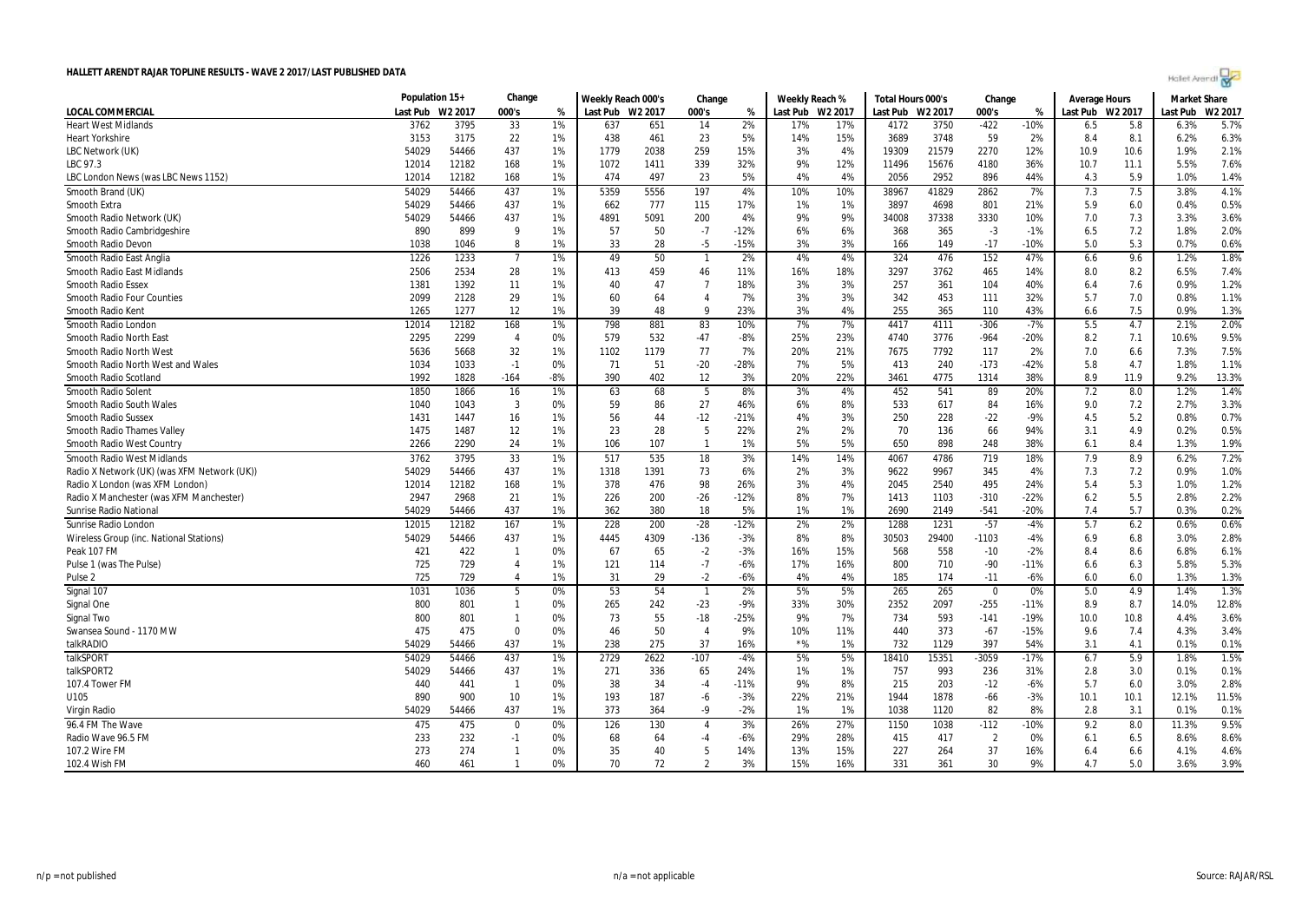| Holet Arendi |  |
|--------------|--|
|--------------|--|

|                                             | Population 15+ |                     | Change         |       | Weekly Reach 000's |      | Change         |        | Weekly Reach % |         | Total Hours 000's |       | Change         |        | <b>Average Hours</b> |      | <b>Market Share</b> |         |
|---------------------------------------------|----------------|---------------------|----------------|-------|--------------------|------|----------------|--------|----------------|---------|-------------------|-------|----------------|--------|----------------------|------|---------------------|---------|
| <b>LOCAL COMMERCIAL</b>                     | Last Pub       | W <sub>2</sub> 2017 | 000's          | %     | Last Pub W2 2017   |      | 000's          | %      | Last Pub       | W2 2017 | Last Pub W2 2017  |       | 000's          | %      | Last Pub W2 2017     |      | Last Pub            | W2 2017 |
| <b>Heart West Midlands</b>                  | 3762           | 3795                | 33             | 1%    | 637                | 651  | 14             | 2%     | 17%            | 17%     | 4172              | 3750  | $-422$         | $-10%$ | 6.5                  | 5.8  | 6.3%                | 5.7%    |
| <b>Heart Yorkshire</b>                      | 3153           | 3175                | 22             | 1%    | 438                | 461  | 23             | 5%     | 14%            | 15%     | 3689              | 3748  | 59             | 2%     | 8.4                  | 8.1  | 6.2%                | 6.3%    |
| LBC Network (UK)                            | 54029          | 54466               | 437            | 1%    | 1779               | 2038 | 259            | 15%    | 3%             | 4%      | 19309             | 21579 | 2270           | 12%    | 10.9                 | 10.6 | 1.9%                | 2.1%    |
| LBC 97.3                                    | 12014          | 12182               | 168            | 1%    | 1072               | 1411 | 339            | 32%    | 9%             | 12%     | 11496             | 15676 | 4180           | 36%    | 10.7                 | 11.1 | 5.5%                | 7.6%    |
| LBC London News (was LBC News 1152)         | 12014          | 12182               | 168            | 1%    | 474                | 497  | 23             | 5%     | 4%             | 4%      | 2056              | 2952  | 896            | 44%    | 4.3                  | 5.9  | 1.0%                | 1.4%    |
| Smooth Brand (UK)                           | 54029          | 54466               | 437            | 1%    | 5359               | 5556 | 197            | 4%     | 10%            | 10%     | 38967             | 41829 | 2862           | 7%     | 7.3                  | 7.5  | 3.8%                | 4.1%    |
| <b>Smooth Extra</b>                         | 54029          | 54466               | 437            | 1%    | 662                | 777  | 115            | 17%    | 1%             | 1%      | 3897              | 4698  | 801            | 21%    | 5.9                  | 6.0  | 0.4%                | 0.5%    |
| Smooth Radio Network (UK)                   | 54029          | 54466               | 437            | 1%    | 4891               | 5091 | 200            | 4%     | 9%             | 9%      | 34008             | 37338 | 3330           | 10%    | 7.0                  | 7.3  | 3.3%                | 3.6%    |
| Smooth Radio Cambridgeshire                 | 890            | 899                 | 9              | 1%    | 57                 | 50   | $-7$           | $-12%$ | 6%             | 6%      | 368               | 365   | $-3$           | $-1%$  | 6.5                  | 7.2  | 1.8%                | 2.0%    |
| Smooth Radio Devon                          | 1038           | 1046                | 8              | 1%    | 33                 | 28   | $-5$           | $-15%$ | 3%             | 3%      | 166               | 149   | $-17$          | $-10%$ | 5.0                  | 5.3  | 0.7%                | 0.6%    |
| Smooth Radio East Anglia                    | 1226           | 1233                | $\overline{7}$ | 1%    | 49                 | 50   | $\overline{1}$ | 2%     | 4%             | 4%      | 324               | 476   | 152            | 47%    | 6.6                  | 9.6  | 1.2%                | 1.8%    |
| Smooth Radio East Midlands                  | 2506           | 2534                | 28             | 1%    | 413                | 459  | 46             | 11%    | 16%            | 18%     | 3297              | 3762  | 465            | 14%    | 8.0                  | 8.2  | 6.5%                | 7.4%    |
| <b>Smooth Radio Essex</b>                   | 1381           | 1392                | 11             | 1%    | 40                 | 47   | $\overline{7}$ | 18%    | 3%             | 3%      | 257               | 361   | 104            | 40%    | 6.4                  | 7.6  | 0.9%                | 1.2%    |
| <b>Smooth Radio Four Counties</b>           | 2099           | 2128                | 29             | 1%    | 60                 | 64   | $\overline{4}$ | 7%     | 3%             | 3%      | 342               | 453   | 111            | 32%    | 5.7                  | 7.0  | 0.8%                | 1.1%    |
| Smooth Radio Kent                           | 1265           | 1277                | 12             | 1%    | 39                 | 48   | 9              | 23%    | 3%             | 4%      | 255               | 365   | 110            | 43%    | 6.6                  | 7.5  | 0.9%                | 1.3%    |
| Smooth Radio London                         | 12014          | 12182               | 168            | 1%    | 798                | 881  | 83             | 10%    | 7%             | 7%      | 4417              | 4111  | $-306$         | $-7%$  | 5.5                  | 4.7  | 2.1%                | 2.0%    |
| Smooth Radio North East                     | 2295           | 2299                | $\overline{4}$ | 0%    | 579                | 532  | $-47$          | $-8%$  | 25%            | 23%     | 4740              | 3776  | $-964$         | $-20%$ | 8.2                  | 7.1  | 10.6%               | 9.5%    |
| Smooth Radio North West                     | 5636           | 5668                | 32             | 1%    | 1102               | 1179 | 77             | 7%     | 20%            | 21%     | 7675              | 7792  | 117            | 2%     | 7.0                  | 6.6  | 7.3%                | 7.5%    |
| Smooth Radio North West and Wales           | 1034           | 1033                | $-1$           | 0%    | 71                 | 51   | $-20$          | $-28%$ | 7%             | 5%      | 413               | 240   | $-173$         | $-42%$ | 5.8                  | 4.7  | 1.8%                | 1.1%    |
| Smooth Radio Scotland                       | 1992           | 1828                | $-164$         | $-8%$ | 390                | 402  | 12             | 3%     | 20%            | 22%     | 3461              | 4775  | 1314           | 38%    | 8.9                  | 11.9 | 9.2%                | 13.3%   |
| Smooth Radio Solent                         | 1850           | 1866                | 16             | 1%    | 63                 | 68   | 5              | 8%     | 3%             | 4%      | 452               | 541   | 89             | 20%    | 7.2                  | 8.0  | 1.2%                | 1.4%    |
| Smooth Radio South Wales                    | 1040           | 1043                | 3              | 0%    | 59                 | 86   | 27             | 46%    | 6%             | 8%      | 533               | 617   | 84             | 16%    | 9.0                  | 7.2  | 2.7%                | 3.3%    |
| <b>Smooth Radio Sussex</b>                  | 1431           | 1447                | 16             | 1%    | 56                 | 44   | $-12$          | $-21%$ | 4%             | 3%      | 250               | 228   | $-22$          | $-9%$  | 4.5                  | 5.2  | 0.8%                | 0.7%    |
| <b>Smooth Radio Thames Valley</b>           | 1475           | 1487                | 12             | 1%    | 23                 | 28   | 5              | 22%    | 2%             | 2%      | 70                | 136   | 66             | 94%    | 3.1                  | 4.9  | 0.2%                | 0.5%    |
| Smooth Radio West Country                   | 2266           | 2290                | 24             | 1%    | 106                | 107  | $\overline{1}$ | 1%     | 5%             | 5%      | 650               | 898   | 248            | 38%    | 6.1                  | 8.4  | 1.3%                | 1.9%    |
| Smooth Radio West Midlands                  | 3762           | 3795                | 33             | 1%    | 517                | 535  | 18             | 3%     | 14%            | 14%     | 4067              | 4786  | 719            | 18%    | 7.9                  | 8.9  | 6.2%                | 7.2%    |
| Radio X Network (UK) (was XFM Network (UK)) | 54029          | 54466               | 437            | 1%    | 1318               | 1391 | 73             | 6%     | 2%             | 3%      | 9622              | 9967  | 345            | 4%     | 7.3                  | 7.2  | 0.9%                | 1.0%    |
| Radio X London (was XFM London)             | 12014          | 12182               | 168            | 1%    | 378                | 476  | 98             | 26%    | 3%             | 4%      | 2045              | 2540  | 495            | 24%    | 5.4                  | 5.3  | 1.0%                | 1.2%    |
| Radio X Manchester (was XFM Manchester)     | 2947           | 2968                | 21             | 1%    | 226                | 200  | $-26$          | $-12%$ | 8%             | 7%      | 1413              | 1103  | $-310$         | $-22%$ | 6.2                  | 5.5  | 2.8%                | 2.2%    |
| Sunrise Radio National                      | 54029          | 54466               | 437            | 1%    | 362                | 380  | 18             | 5%     | 1%             | 1%      | 2690              | 2149  | $-541$         | $-20%$ | 7.4                  | 5.7  | 0.3%                | 0.2%    |
| Sunrise Radio London                        | 12015          | 12182               | 167            | 1%    | 228                | 200  | $-28$          | $-12%$ | 2%             | 2%      | 1288              | 1231  | $-57$          | $-4%$  | 5.7                  | 6.2  | 0.6%                | 0.6%    |
| Wireless Group (inc. National Stations)     | 54029          | 54466               | 437            | 1%    | 4445               | 4309 | $-136$         | $-3%$  | 8%             | 8%      | 30503             | 29400 | -1103          | $-4%$  | 6.9                  | 6.8  | 3.0%                | 2.8%    |
| Peak 107 FM                                 | 421            | 422                 | $\mathbf{1}$   | 0%    | 67                 | 65   | $-2$           | $-3%$  | 16%            | 15%     | 568               | 558   | $-10$          | $-2%$  | 8.4                  | 8.6  | 6.8%                | 6.1%    |
| Pulse 1 (was The Pulse)                     | 725            | 729                 | $\overline{4}$ | 1%    | 121                | 114  | $-7$           | $-6%$  | 17%            | 16%     | 800               | 710   | $-90$          | $-11%$ | 6.6                  | 6.3  | 5.8%                | 5.3%    |
| Pulse <sub>2</sub>                          | 725            | 729                 | 4              | 1%    | 31                 | 29   | $-2$           | $-6%$  | 4%             | 4%      | 185               | 174   | $-11$          | $-6%$  | 6.0                  | 6.0  | 1.3%                | 1.3%    |
| Signal 107                                  | 1031           | 1036                | 5              | 0%    | 53                 | 54   | $\overline{1}$ | 2%     | 5%             | 5%      | 265               | 265   | $\mathbf 0$    | 0%     | 5.0                  | 4.9  | 1.4%                | 1.3%    |
| Signal One                                  | 800            | 801                 | $\mathbf{1}$   | 0%    | 265                | 242  | $-23$          | $-9%$  | 33%            | 30%     | 2352              | 2097  | $-255$         | $-11%$ | 8.9                  | 8.7  | 14.0%               | 12.8%   |
| Signal Two                                  | 800            | 801                 | $\mathbf{1}$   | 0%    | 73                 | 55   | $-18$          | $-25%$ | 9%             | 7%      | 734               | 593   | $-141$         | $-19%$ | 10.0                 | 10.8 | 4.4%                | 3.6%    |
| Swansea Sound - 1170 MW                     | 475            | 475                 | $\Omega$       | 0%    | 46                 | 50   | $\overline{4}$ | 9%     | 10%            | 11%     | 440               | 373   | $-67$          | $-15%$ | 9.6                  | 7.4  | 4.3%                | 3.4%    |
| talkRADIO                                   | 54029          | 54466               | 437            | 1%    | 238                | 275  | 37             | 16%    | $*$ %          | 1%      | 732               | 1129  | 397            | 54%    | 3.1                  | 4.1  | 0.1%                | 0.1%    |
| talkSPORT                                   | 54029          | 54466               | 437            | 1%    | 2729               | 2622 | $-107$         | $-4%$  | 5%             | 5%      | 18410             | 15351 | $-3059$        | $-17%$ | 6.7                  | 5.9  | 1.8%                | 1.5%    |
| talkSPORT2                                  | 54029          | 54466               | 437            | 1%    | 271                | 336  | 65             | 24%    | 1%             | 1%      | 757               | 993   | 236            | 31%    | 2.8                  | 3.0  | 0.1%                | 0.1%    |
| 107.4 Tower FM                              | 440            | 441                 | $\overline{1}$ | 0%    | 38                 | 34   | $-4$           | $-11%$ | 9%             | 8%      | 215               | 203   | $-12$          | $-6%$  | 5.7                  | 6.0  | 3.0%                | 2.8%    |
| U105                                        | 890            | 900                 | 10             | 1%    | 193                | 187  | -6             | $-3%$  | 22%            | 21%     | 1944              | 1878  | $-66$          | $-3%$  | 10.1                 | 10.1 | 12.1%               | 11.5%   |
| Virgin Radio                                | 54029          | 54466               | 437            | 1%    | 373                | 364  | -9             | $-2%$  | 1%             | 1%      | 1038              | 1120  | 82             | 8%     | 2.8                  | 3.1  | 0.1%                | 0.1%    |
| 96.4 FM The Wave                            | 475            | 475                 | $\mathbf 0$    | 0%    | 126                | 130  | $\overline{4}$ | 3%     | 26%            | 27%     | 1150              | 1038  | $-112$         | $-10%$ | 9.2                  | 8.0  | 11.3%               | 9.5%    |
| Radio Wave 96.5 FM                          | 233            | 232                 | $-1$           | 0%    | 68                 | 64   | -4             | $-6%$  | 29%            | 28%     | 415               | 417   | $\overline{2}$ | 0%     | 6.1                  | 6.5  | 8.6%                | 8.6%    |
| 107.2 Wire FM                               | 273            | 274                 | $\mathbf{1}$   | 0%    | 35                 | 40   | 5              | 14%    | 13%            | 15%     | 227               | 264   | 37             | 16%    | 6.4                  | 6.6  | 4.1%                | 4.6%    |
| 102.4 Wish FM                               | 460            | 461                 | $\mathbf{1}$   | 0%    | 70                 | 72   | $\overline{2}$ | 3%     | 15%            | 16%     | 331               | 361   | 30             | 9%     | 4.7                  | 5.0  | 3.6%                | 3.9%    |
|                                             |                |                     |                |       |                    |      |                |        |                |         |                   |       |                |        |                      |      |                     |         |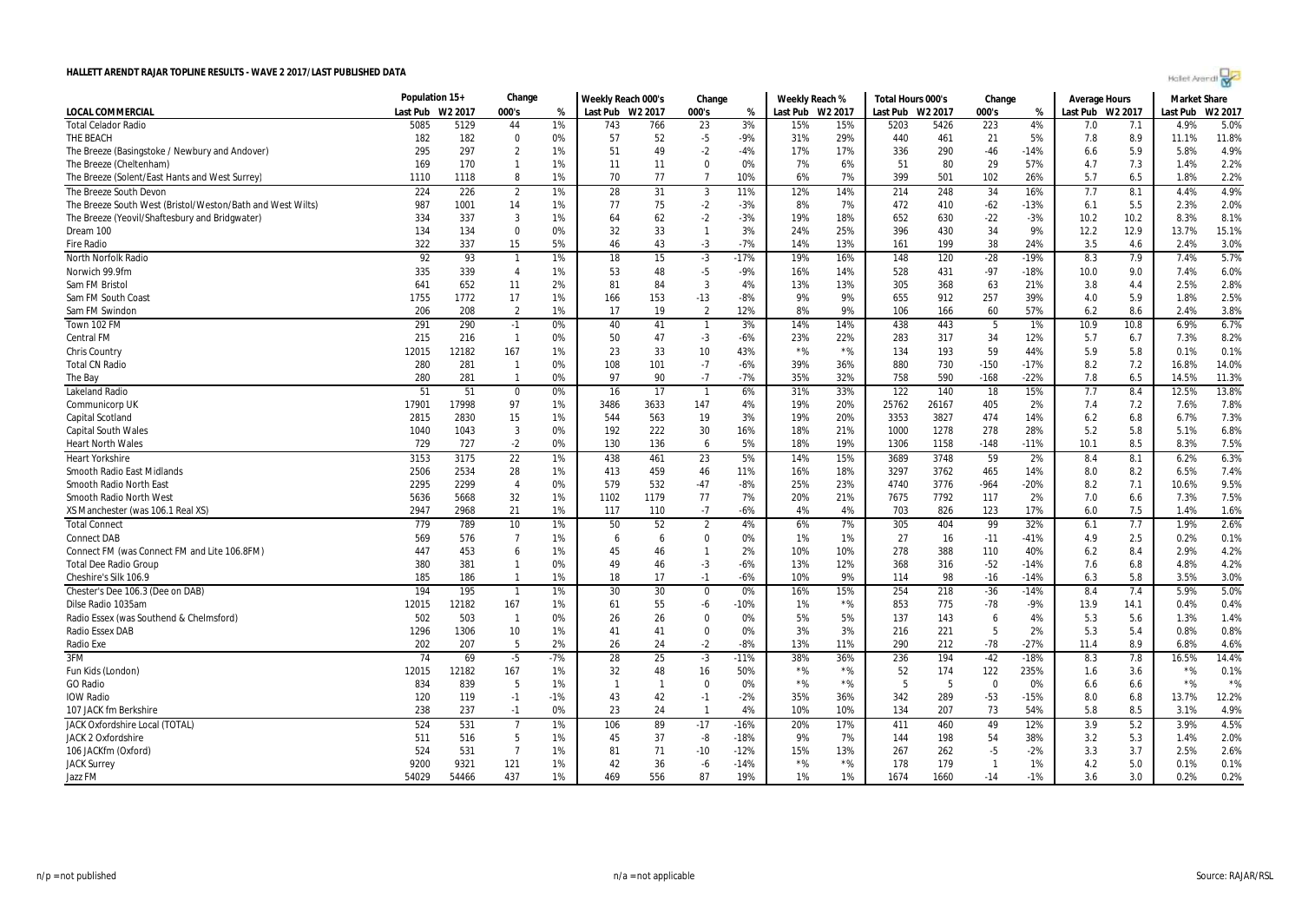| Holet Arendi |  |  |
|--------------|--|--|
|--------------|--|--|

|                                                            | Population 15+ |            | Change          |       | Weekly Reach 000's |                | Change                     |                | Weekly Reach % |                  | Total Hours 000's |           | Change         |                  | <b>Average Hours</b> |            | <b>Market Share</b> |              |
|------------------------------------------------------------|----------------|------------|-----------------|-------|--------------------|----------------|----------------------------|----------------|----------------|------------------|-------------------|-----------|----------------|------------------|----------------------|------------|---------------------|--------------|
| <b>LOCAL COMMERCIAL</b>                                    | Last Pub       | W2 2017    | 000's           | %     | Last Pub W2 2017   |                | 000's                      | %              |                | Last Pub W2 2017 | Last Pub W2 2017  |           | 000's          | %                | Last Pub W2 2017     |            | Last Pub            | W2 2017      |
| <b>Total Celador Radio</b>                                 | 5085           | 5129       | 44              | 1%    | 743                | 766            | 23                         | 3%             | 15%            | 15%              | 5203              | 5426      | 223            | 4%               | 7.0                  | 7.1        | 4.9%                | 5.0%         |
| THE BEACH                                                  | 182            | 182        | 0               | 0%    | 57                 | 52             | $-5$                       | -9%            | 31%            | 29%              | 440               | 461       | 21             | 5%               | 7.8                  | 8.9        | 11.1%               | 11.8%        |
| The Breeze (Basingstoke / Newbury and Andover)             | 295            | 297        | $\overline{2}$  | 1%    | 51                 | 49             | $-2$                       | $-4%$          | 17%            | 17%              | 336               | 290       | $-46$          | $-14%$           | 6.6                  | 5.9        | 5.8%                | 4.9%         |
| The Breeze (Cheltenham)                                    | 169            | 170        | $\mathbf{1}$    | 1%    | 11                 | 11             | $\mathbf 0$                | 0%             | 7%             | 6%               | 51                | 80        | 29             | 57%              | 4.7                  | 7.3        | 1.4%                | 2.2%         |
| The Breeze (Solent/East Hants and West Surrey)             | 1110           | 1118       | 8               | 1%    | 70                 | 77             | $\overline{7}$             | 10%            | 6%             | 7%               | 399               | 501       | 102            | 26%              | 5.7                  | 6.5        | 1.8%                | 2.2%         |
| The Breeze South Devon                                     | 224            | 226        | $\overline{2}$  | 1%    | 28                 | 31             | 3                          | 11%            | 12%            | 14%              | 214               | 248       | 34             | 16%              | 7.7                  | 8.1        | 4.4%                | 4.9%         |
| The Breeze South West (Bristol/Weston/Bath and West Wilts) | 987            | 1001       | 14              | 1%    | 77                 | 75             | $-2$                       | $-3%$          | 8%             | 7%               | 472               | 410       | $-62$          | $-13%$           | 6.1                  | 5.5        | 2.3%                | 2.0%         |
| The Breeze (Yeovil/Shaftesbury and Bridgwater)             | 334            | 337        | 3               | 1%    | 64                 | 62             | $-2$                       | $-3%$          | 19%            | 18%              | 652               | 630       | $-22$          | $-3%$            | 10.2                 | 10.2       | 8.3%                | 8.1%         |
| Dream 100                                                  | 134            | 134        | 0               | 0%    | 32                 | 33             | $\mathbf{1}$               | 3%             | 24%            | 25%              | 396               | 430       | 34             | 9%               | 12.2                 | 12.9       | 13.7%               | 15.1%        |
| <b>Fire Radio</b>                                          | 322            | 337        | 15              | 5%    | 46                 | 43             | $-3$                       | $-7%$          | 14%            | 13%              | 161               | 199       | 38             | 24%              | 3.5                  | 4.6        | 2.4%                | 3.0%         |
| North Norfolk Radio                                        | 92             | 93         | $\overline{1}$  | 1%    | 18                 | 15             | $-3$                       | $-17%$         | 19%            | 16%              | 148               | 120       | $-28$          | $-19%$           | 8.3                  | 7.9        | 7.4%                | 5.7%         |
| Norwich 99.9fm                                             | 335            | 339        | $\overline{4}$  | 1%    | 53                 | 48             | $-5$                       | $-9%$          | 16%            | 14%              | 528               | 431       | $-97$          | $-18%$           | 10.0                 | 9.0        | 7.4%                | 6.0%         |
| Sam FM Bristol                                             | 641            | 652        | 11              | 2%    | 81                 | 84             | 3                          | 4%             | 13%            | 13%              | 305               | 368       | 63             | 21%              | 3.8                  | 4.4        | 2.5%                | 2.8%         |
| Sam FM South Coast                                         | 1755           | 1772       | 17              | 1%    | 166                | 153            | $-13$                      | $-8%$          | 9%             | 9%               | 655               | 912       | 257            | 39%              | 4.0                  | 5.9        | 1.8%                | 2.5%         |
| Sam FM Swindon                                             | 206            | 208        | $\overline{2}$  | 1%    | 17                 | 19             | $\overline{2}$             | 12%            | 8%             | 9%               | 106               | 166       | 60             | 57%              | 6.2                  | 8.6        | 2.4%                | 3.8%         |
| Town 102 FM                                                | 291            | 290        | $-1$            | 0%    | 40                 | 41             | $\mathbf{1}$               | 3%             | 14%            | 14%              | 438               | 443       | 5              | 1%               | 10.9                 | 10.8       | 6.9%                | 6.7%         |
| <b>Central FM</b>                                          | 215            | 216        | $\overline{1}$  | 0%    | 50                 | 47             | $-3$                       | $-6%$          | 23%            | 22%              | 283               | 317       | 34             | 12%              | 5.7                  | 6.7        | 7.3%                | 8.2%         |
| <b>Chris Country</b>                                       | 12015          | 12182      | 167             | 1%    | 23                 | 33             | 10 <sup>°</sup>            | 43%            | $*$ %          | $*$ %            | 134               | 193       | 59             | 44%              | 5.9                  | 5.8        | 0.1%                | 0.1%         |
| <b>Total CN Radio</b>                                      | 280            | 281        | $\overline{1}$  | 0%    | 108                | 101            | $-7$                       | $-6%$          | 39%            | 36%              | 880               | 730       | $-150$         | $-17%$           | 8.2                  | 7.2        | 16.8%               | 14.0%        |
| The Bay                                                    | 280            | 281        | $\mathbf{1}$    | 0%    | 97                 | 90             | $-7$                       | $-7%$          | 35%            | 32%              | 758               | 590       | $-168$         | $-22%$           | 7.8                  | 6.5        | 14.5%               | 11.3%        |
| <b>Lakeland Radio</b>                                      | 51             | 51         | $\mathbf 0$     | 0%    | 16                 | 17             | $\overline{1}$             | 6%             | 31%            | 33%              | 122               | 140       | 18             | 15%              | 7.7                  | 8.4        | 12.5%               | 13.8%        |
| Communicorp UK                                             | 17901          | 17998      | 97              | 1%    | 3486               | 3633           | 147                        | 4%             | 19%            | 20%              | 25762             | 26167     | 405            | 2%               | 7.4                  | 7.2        | 7.6%                | 7.8%         |
| Capital Scotland                                           | 2815           | 2830       | 15              | 1%    | 544                | 563            | 19                         | 3%             | 19%            | 20%              | 3353              | 3827      | 474            | 14%              | 6.2                  | 6.8        | 6.7%                | 7.3%         |
| <b>Capital South Wales</b>                                 | 1040           | 1043       | 3               | 0%    | 192                | 222            | 30                         | 16%            | 18%            | 21%              | 1000              | 1278      | 278            | 28%              | 5.2                  | 5.8        | 5.1%                | 6.8%         |
| <b>Heart North Wales</b>                                   | 729            | 727        | $-2$            | 0%    | 130                | 136            | 6                          | 5%             | 18%            | 19%              | 1306              | 1158      | $-148$         | $-11%$           | 10.1                 | 8.5        | 8.3%                | 7.5%         |
| <b>Heart Yorkshire</b>                                     | 3153           | 3175       | 22              | 1%    | 438                | 461            | 23                         | 5%             | 14%            | 15%              | 3689              | 3748      | 59             | 2%               | 8.4                  | 8.1        | 6.2%                | 6.3%         |
| Smooth Radio East Midlands                                 | 2506           | 2534       | 28              | 1%    | 413                | 459            | 46                         | 11%            | 16%            | 18%              | 3297              | 3762      | 465            | 14%              | 8.0                  | 8.2        | 6.5%                | 7.4%         |
| Smooth Radio North East                                    | 2295           | 2299       | $\overline{4}$  | 0%    | 579                | 532            | $-47$                      | $-8%$          | 25%            | 23%              | 4740              | 3776      | $-964$         | $-20%$           | 8.2                  | 7.1        | 10.6%               | 9.5%         |
| Smooth Radio North West                                    | 5636           | 5668       | 32              | 1%    | 1102               | 1179           | 77                         | 7%             | 20%            | 21%              | 7675              | 7792      | 117            | 2%               | 7.0                  | 6.6        | 7.3%                | 7.5%         |
| XS Manchester (was 106.1 Real XS)                          | 2947           | 2968       | 21              | 1%    | 117                | 110            | $-7$                       | $-6%$          | 4%             | 4%               | 703               | 826       | 123            | 17%              | 6.0                  | 7.5        | 1.4%                | 1.6%         |
|                                                            |                | 789        | 10 <sup>°</sup> | 1%    |                    |                |                            | 4%             | 6%             | 7%               |                   |           | 99             |                  |                      |            | 1.9%                | 2.6%         |
| <b>Total Connect</b><br><b>Connect DAB</b>                 | 779<br>569     | 576        | $\overline{7}$  | 1%    | 50<br>6            | 52<br>6        | $\overline{2}$<br>$\Omega$ | 0%             | 1%             | 1%               | 305<br>27         | 404<br>16 | $-11$          | 32%<br>$-41%$    | 6.1<br>4.9           | 7.7<br>2.5 | 0.2%                | 0.1%         |
|                                                            | 447            | 453        | 6               | 1%    | 45                 | 46             | $\mathbf{1}$               | 2%             | 10%            | 10%              | 278               | 388       | 110            | 40%              |                      | 8.4        | 2.9%                | 4.2%         |
| Connect FM (was Connect FM and Lite 106.8FM)               |                |            | $\mathbf{1}$    | 0%    |                    |                |                            |                |                |                  |                   |           |                |                  | 6.2                  |            |                     |              |
| <b>Total Dee Radio Group</b><br>Cheshire's Silk 106.9      | 380<br>185     | 381<br>186 | $\mathbf{1}$    | 1%    | 49<br>18           | 46<br>17       | $-3$<br>$-1$               | $-6%$<br>$-6%$ | 13%<br>10%     | 12%<br>9%        | 368<br>114        | 316<br>98 | $-52$<br>$-16$ | $-14%$<br>$-14%$ | 7.6<br>6.3           | 6.8<br>5.8 | 4.8%<br>3.5%        | 4.2%<br>3.0% |
|                                                            |                |            |                 |       |                    |                |                            |                |                |                  |                   |           |                |                  |                      |            |                     |              |
| Chester's Dee 106.3 (Dee on DAB)                           | 194            | 195        | $\overline{1}$  | 1%    | 30                 | 30             | 0                          | 0%             | 16%            | 15%              | 254               | 218       | $-36$          | $-14%$           | 8.4                  | 7.4        | 5.9%                | 5.0%         |
| Dilse Radio 1035am                                         | 12015          | 12182      | 167             | 1%    | 61                 | 55             | -6                         | -10%           | 1%             | $*$ %            | 853               | 775       | -78            | $-9%$            | 13.9                 | 14.1       | 0.4%                | 0.4%         |
| Radio Essex (was Southend & Chelmsford)                    | 502            | 503        | $\overline{1}$  | 0%    | 26                 | 26             | $\mathbf 0$<br>$\Omega$    | 0%<br>0%       | 5%             | 5%<br>3%         | 137               | 143       | 6<br>5         | 4%               | 5.3                  | 5.6        | 1.3%<br>0.8%        | 1.4%<br>0.8% |
| Radio Essex DAB                                            | 1296           | 1306       | 10<br>5         | 1%    | 41                 | 41             |                            | $-8%$          | 3%             | 11%              | 216               | 221       | $-78$          | 2%               | 5.3                  | 5.4        |                     |              |
| Radio Exe                                                  | 202            | 207        |                 | 2%    | 26                 | 24             | $-2$                       |                | 13%            |                  | 290               | 212       |                | $-27%$           | 11.4                 | 8.9        | 6.8%                | 4.6%         |
| 3FM                                                        | 74             | 69         | $-5$            | $-7%$ | 28                 | 25             | $-3$                       | $-11%$         | 38%            | 36%              | 236               | 194       | $-42$          | $-18%$           | 8.3                  | 7.8        | 16.5%               | 14.4%        |
| Fun Kids (London)                                          | 12015          | 12182      | 167             | 1%    | 32                 | 48             | 16                         | 50%            | $*$ %          | $*$ %            | 52                | 174       | 122            | 235%             | 1.6                  | 3.6        | $*$ %               | 0.1%         |
| <b>GO Radio</b>                                            | 834            | 839        | 5               | 1%    | $\mathbf{1}$       | $\overline{1}$ | $\bf{0}$                   | 0%             | $*$ %          | $*$ %            | 5                 | 5         | 0              | 0%               | 6.6                  | 6.6        | $*$ %               | $*$ %        |
| <b>IOW Radio</b>                                           | 120            | 119        | $-1$            | $-1%$ | 43                 | 42             | $-1$                       | $-2%$          | 35%            | 36%              | 342               | 289       | $-53$          | $-15%$           | 8.0                  | 6.8        | 13.7%               | 12.2%        |
| 107 JACK fm Berkshire                                      | 238            | 237        | $-1$            | 0%    | 23                 | 24             | $\mathbf{1}$               | 4%             | 10%            | 10%              | 134               | 207       | 73             | 54%              | 5.8                  | 8.5        | 3.1%                | 4.9%         |
| <b>JACK Oxfordshire Local (TOTAL)</b>                      | 524            | 531        | $\overline{7}$  | 1%    | 106                | 89             | $-17$                      | $-16%$         | 20%            | 17%              | 411               | 460       | 49             | 12%              | 3.9                  | 5.2        | 3.9%                | 4.5%         |
| JACK 2 Oxfordshire                                         | 511            | 516        | 5               | 1%    | 45                 | 37             | -8                         | $-18%$         | 9%             | 7%               | 144               | 198       | 54             | 38%              | 3.2                  | 5.3        | 1.4%                | 2.0%         |
| 106 JACKfm (Oxford)                                        | 524            | 531        | $\overline{7}$  | 1%    | 81                 | 71             | $-10$                      | $-12%$         | 15%            | 13%              | 267               | 262       | $-5$           | $-2%$            | 3.3                  | 3.7        | 2.5%                | 2.6%         |
| <b>JACK Surrey</b>                                         | 9200           | 9321       | 121             | 1%    | 42                 | 36             | -6                         | $-14%$         | $*$ %          | $\star$ %        | 178               | 179       | $\mathbf{1}$   | 1%               | 4.2                  | 5.0        | 0.1%                | 0.1%         |
| Jazz FM                                                    | 54029          | 54466      | 437             | 1%    | 469                | 556            | 87                         | 19%            | 1%             | 1%               | 1674              | 1660      | $-14$          | $-1%$            | 3.6                  | 3.0        | 0.2%                | 0.2%         |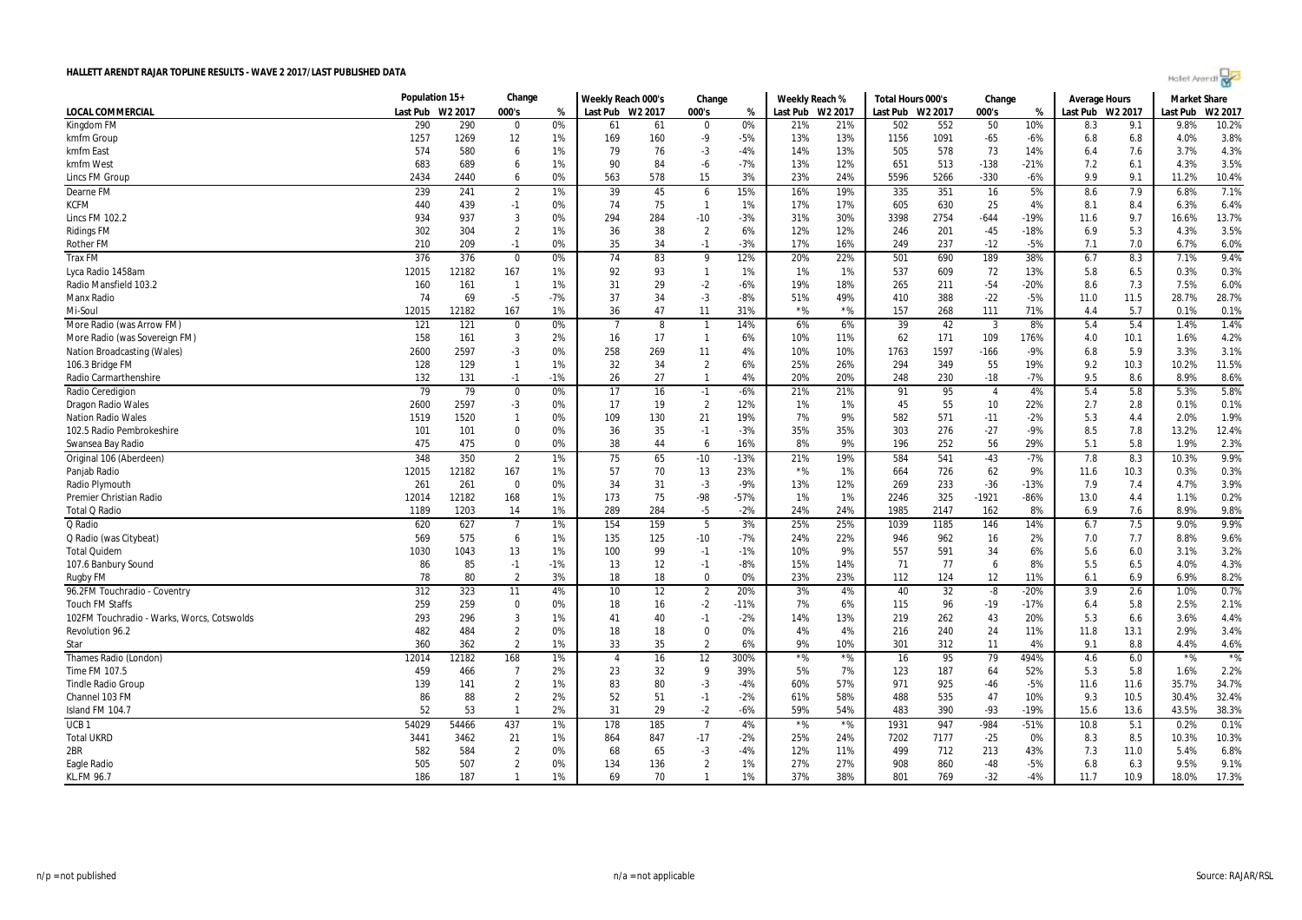| let Arendi |  |  |  |  |
|------------|--|--|--|--|
|------------|--|--|--|--|

| HALLETT ARENDT RAJAR TOPLINE RESULTS - WAVE 2 2017/LAST PUBLISHED DATA |                |                     |                |          |                    |                 |                        |          |                |            |                   |                     |                |                |                      |             | Holet Arendi        |         |
|------------------------------------------------------------------------|----------------|---------------------|----------------|----------|--------------------|-----------------|------------------------|----------|----------------|------------|-------------------|---------------------|----------------|----------------|----------------------|-------------|---------------------|---------|
|                                                                        | Population 15+ |                     | Change         |          | Weekly Reach 000's |                 | Change                 |          | Weekly Reach % |            | Total Hours 000's |                     | Change         |                | <b>Average Hours</b> |             | <b>Market Share</b> |         |
| LOCAL COMMERCIAL                                                       | Last Pub       | W <sub>2</sub> 2017 | 000's          | %        | Last Pub           | W2 2017         | 000's                  | %        | Last Pub       | W2 2017    | Last Pub          | W <sub>2</sub> 2017 | 000's          | %              | Last Pub             | W2 2017     | Last Pub            | W2 2017 |
| Kingdom FM                                                             | 290            | 290                 | 0              | 0%       | 61                 | 61              | 0                      | 0%       | 21%            | 21%        | 502               | 552                 | 50             | 10%            | 8.3                  | 9.1         | 9.8%                | 10.2%   |
| kmfm Group                                                             | 1257           | 1269                | 12             | 1%       | 169                | 160             | $-9$                   | $-5%$    | 13%            | 13%        | 1156              | 1091                | $-65$          | $-6%$          | 6.8                  | 6.8         | 4.0%                | 3.8%    |
| kmfm East                                                              | 574            | 580                 | 6              | 1%       | 79                 | 76              | $-3$                   | $-4%$    | 14%            | 13%        | 505               | 578                 | 73             | 14%            | 6.4                  | 7.6         | 3.7%                | 4.3%    |
| kmfm West                                                              | 683            | 689                 | 6              | 1%       | 90                 | 84              | -6                     | $-7%$    | 13%            | 12%        | 651               | 513                 | $-138$         | $-21%$         | 7.2                  | 6.1         | 4.3%                | 3.5%    |
| <b>Lincs FM Group</b>                                                  | 2434           | 2440                | 6              | 0%       | 563                | 578             | 15                     | 3%       | 23%            | 24%        | 5596              | 5266                | $-330$         | $-6%$          | 9.9                  | 9.1         | 11.2%               | 10.4%   |
| Dearne FM                                                              | 239            | 241                 | $\overline{2}$ | 1%       | 39                 | 45              | 6                      | 15%      | 16%            | 19%        | 335               | 351                 | 16             | 5%             | 8.6                  | 7.9         | 6.8%                | 7.1%    |
| <b>KCFM</b>                                                            | 440            | 439                 | $-1$           | 0%       | 74                 | 75              | $\mathbf{1}$           | 1%       | 17%            | 17%        | 605               | 630                 | 25             | 4%             | 8.1                  | 8.4         | 6.3%                | 6.4%    |
| <b>Lincs FM 102.2</b>                                                  | 934            | 937                 | 3              | 0%       | 294                | 284             | $-10$                  | $-3%$    | 31%            | 30%        | 3398              | 2754                | $-644$         | $-19%$         | 11.6                 | 9.7         | 16.6%               | 13.7%   |
| <b>Ridings FM</b>                                                      | 302            | 304                 | $\overline{2}$ | 1%       | 36                 | 38              | $\overline{2}$         | 6%       | 12%            | 12%        | 246               | 201                 | $-45$          | $-18%$         | 6.9                  | 5.3         | 4.3%                | 3.5%    |
| Rother FM                                                              | 210            | 209                 | $-1$           | 0%       | 35                 | 34              | $-1$                   | $-3%$    | 17%            | 16%        | 249               | 237                 | $-12$          | $-5%$          | 7.1                  | 7.0         | 6.7%                | 6.0%    |
| <b>Trax FM</b>                                                         | 376            | 376                 | $\mathbf 0$    | 0%       | 74                 | 83              | 9                      | 12%      | 20%            | 22%        | 501               | 690                 | 189            | 38%            | 6.7                  | 8.3         | 7.1%                | 9.4%    |
| Lyca Radio 1458am                                                      | 12015          | 12182               | 167            | 1%       | 92                 | 93              | $\mathbf{1}$           | 1%       | 1%             | 1%         | 537               | 609                 | 72             | 13%            | 5.8                  | 6.5         | 0.3%                | 0.3%    |
| Radio Mansfield 103.2                                                  | 160            | 161                 | $\overline{1}$ | 1%       | 31                 | 29              | $-2$                   | $-6%$    | 19%            | 18%        | 265               | 211                 | $-54$          | $-20%$         | 8.6                  | 7.3         | 7.5%                | 6.0%    |
| Manx Radio                                                             | 74             | 69                  | $-5$           | $-7%$    | 37                 | 34              | $-3$                   | $-8%$    | 51%            | 49%        | 410               | 388                 | $-22$          | $-5%$          | 11.0                 | 11.5        | 28.7%               | 28.7%   |
| Mi-Soul                                                                | 12015          | 12182               | 167            | 1%       | 36                 | 47              | 11                     | 31%      | ${}^{\star}\%$ | $*$ %      | 157               | 268                 | 111            | 71%            | 4.4                  | 5.7         | 0.1%                | 0.1%    |
| More Radio (was Arrow FM)                                              | 121            | 121                 | $\mathbf 0$    | 0%       |                    | 8               | $\overline{1}$         | 14%      | 6%             | 6%         | 39                | 42                  | 3              | 8%             | 5.4                  | 5.4         | 1.4%                | 1.4%    |
|                                                                        |                |                     |                |          |                    |                 |                        |          |                |            |                   |                     |                |                |                      |             |                     |         |
| More Radio (was Sovereign FM)                                          | 158            | 161                 | 3              | 2%<br>0% | 16                 | 17              | $\mathbf{1}$           | 6%<br>4% | 10%            | 11%<br>10% | 62                | 171                 | 109            | 176%<br>$-9%$  | 4.0                  | 10.1        | 1.6%<br>3.3%        | 4.2%    |
| <b>Nation Broadcasting (Wales)</b>                                     | 2600           | 2597                | $-3$           |          | 258                | 269             | 11                     |          | 10%            |            | 1763              | 1597                | $-166$         |                | 6.8                  | 5.9         |                     | 3.1%    |
| 106.3 Bridge FM                                                        | 128            | 129                 | $\mathbf{1}$   | 1%       | 32                 | 34              | $\overline{2}$         | 6%       | 25%            | 26%        | 294               | 349                 | 55             | 19%            | 9.2                  | 10.3        | 10.2%               | 11.5%   |
| Radio Carmarthenshire                                                  | 132            | 131                 | $-1$           | $-1%$    | 26                 | 27              | -1                     | 4%       | 20%            | 20%        | 248               | 230                 | $-18$          | $-7%$          | 9.5                  | 8.6         | 8.9%                | 8.6%    |
| Radio Ceredigion                                                       | 79             | $\overline{79}$     | $\pmb{0}$      | 0%       | 17                 | 16              | $-1$                   | $-6%$    | 21%            | 21%        | 91                | 95                  | $\overline{4}$ | 4%             | 5.4                  | 5.8         | 5.3%                | 5.8%    |
| Dragon Radio Wales                                                     | 2600           | 2597                | $-3$           | 0%       | 17                 | 19              | $\overline{2}$         | 12%      | 1%             | 1%         | 45                | 55                  | 10             | 22%            | 2.7                  | 2.8         | 0.1%                | 0.1%    |
| <b>Nation Radio Wales</b>                                              | 1519           | 1520                | $\mathbf{1}$   | 0%       | 109                | 130             | 21                     | 19%      | 7%             | 9%         | 582               | 571                 | $-11$          | $-2%$          | 5.3                  | 4.4         | 2.0%                | 1.9%    |
| 102.5 Radio Pembrokeshire                                              | 101            | 101                 | $\mathbf 0$    | 0%       | 36                 | 35              | $-1$                   | $-3%$    | 35%            | 35%        | 303               | 276                 | $-27$          | $-9%$          | 8.5                  | 7.8         | 13.2%               | 12.4%   |
| Swansea Bav Radio                                                      | 475            | 475                 | $\Omega$       | 0%       | 38                 | 44              | 6                      | 16%      | 8%             | 9%         | 196               | 252                 | 56             | 29%            | 5.1                  | 5.8         | 1.9%                | 2.3%    |
| Original 106 (Aberdeen)                                                | 348            | 350                 | $\overline{2}$ | 1%       | 75                 | 65              | $-10$                  | $-13%$   | 21%            | 19%        | 584               | 541                 | $-43$          | $-7%$          | 7.8                  | 8.3         | 10.3%               | 9.9%    |
| Panjab Radio                                                           | 12015          | 12182               | 167            | 1%       | 57                 | 70              | 13                     | 23%      | $*$ %          | 1%         | 664               | 726                 | 62             | 9%             | 11.6                 | 10.3        | 0.3%                | 0.3%    |
| Radio Plymouth                                                         | 261            | 261                 | $\mathbf 0$    | 0%       | 34                 | 31              | $-3$                   | $-9%$    | 13%            | 12%        | 269               | 233                 | $-36$          | $-13%$         | 7.9                  | 7.4         | 4.7%                | 3.9%    |
| Premier Christian Radio                                                | 12014          | 12182               | 168            | 1%       | 173                | 75              | $-98$                  | $-57%$   | 1%             | 1%         | 2246              | 325                 | $-1921$        | $-86%$         | 13.0                 | 4.4         | 1.1%                | 0.2%    |
| <b>Total Q Radio</b>                                                   | 1189           | 1203                | 14             | 1%       | 289                | 284             | $-5$                   | $-2%$    | 24%            | 24%        | 1985              | 2147                | 162            | 8%             | 6.9                  | 7.6         | 8.9%                | 9.8%    |
| Q Radio                                                                | 620            | 627                 | $\overline{7}$ | 1%       | 154                | 159             | 5                      | 3%       | 25%            | 25%        | 1039              | 1185                | 146            | 14%            | 6.7                  | 7.5         | 9.0%                | 9.9%    |
| Q Radio (was Citybeat)                                                 | 569            | 575                 | 6              | 1%       | 135                | 125             | $-10$                  | $-7%$    | 24%            | 22%        | 946               | 962                 | 16             | 2%             | 7.0                  | 7.7         | 8.8%                | 9.6%    |
| <b>Total Quidem</b>                                                    | 1030           | 1043                | 13             | 1%       | 100                | 99              | $-1$                   | $-1%$    | 10%            | 9%         | 557               | 591                 | 34             | 6%             | 5.6                  | 6.0         | 3.1%                | 3.2%    |
| 107.6 Banbury Sound                                                    | 86             | 85                  | $-1$           | $-1%$    | 13                 | 12              | $-1$                   | $-8%$    | 15%            | 14%        | 71                | 77                  | 6              | 8%             | 5.5                  | 6.5         | 4.0%                | 4.3%    |
| Rugby FM                                                               | 78             | 80                  | $\overline{2}$ | 3%       | 18                 | 18              | $\mathbf{0}$           | 0%       | 23%            | 23%        | 112               | 124                 | 12             | 11%            | 6.1                  | 6.9         | 6.9%                | 8.2%    |
| 96.2FM Touchradio - Coventry                                           | 312            | 323                 | 11             | 4%       | 10                 | $\overline{12}$ | $\overline{2}$         | 20%      | 3%             | 4%         | 40                | 32                  | $-8$           | $-20%$         | 3.9                  | 2.6         | 1.0%                | 0.7%    |
| <b>Touch FM Staffs</b>                                                 | 259            | 259                 | 0              | 0%       | 18                 | 16              | $-2$                   | $-11%$   | 7%             | 6%         | 115               | 96                  | $-19$          | $-17%$         | 6.4                  | 5.8         | 2.5%                | 2.1%    |
| 102FM Touchradio - Warks, Worcs, Cotswolds                             | 293            | 296                 | $\mathbf{3}$   | 1%       | 41                 | 40              | $-1$                   | $-2%$    | 14%            | 13%        | 219               | 262                 | 43             | 20%            | 5.3                  | 6.6         | 3.6%                | 4.4%    |
| <b>Revolution 96.2</b>                                                 | 482            | 484                 | $\overline{2}$ | 0%       | 18                 | 18              | $\Omega$               | 0%       | 4%             | 4%         | 216               | 240                 | 24             | 11%            | 11.8                 | 13.1        | 2.9%                | 3.4%    |
| Star                                                                   | 360            | 362                 | $\overline{2}$ | 1%       | 33                 | 35              | $\overline{2}$         | 6%       | 9%             | 10%        | 301               | 312                 | 11             | 4%             | 9.1                  | 8.8         | 4.4%                | 4.6%    |
| Thames Radio (London)                                                  | 12014          | 12182               | 168            | 1%       | $\overline{4}$     | 16              | 12                     | 300%     | $*$ %          | $*$ %      | 16                | 95                  | 79             | 494%           | 4.6                  | 6.0         | $*96$               | $*$ %   |
| Time FM 107.5                                                          | 459            | 466                 | $\overline{7}$ | 2%       | 23                 | 32              | 9                      | 39%      | 5%             | 7%         | 123               | 187                 | 64             | 52%            | 5.3                  | 5.8         | 1.6%                | 2.2%    |
| <b>Tindle Radio Group</b>                                              | 139            | 141                 | $\overline{2}$ | 1%       | 83                 | 80              | $-3$                   | $-4%$    | 60%            | 57%        | 971               | 925                 | $-46$          | $-5%$          | 11.6                 | 11.6        | 35.7%               | 34.7%   |
| Channel 103 FM                                                         | 86             | 88                  | $\overline{2}$ | 2%       | 52                 | 51              | $-1$                   | $-2%$    | 61%            | 58%        | 488               | 535                 | 47             | 10%            | 9.3                  | 10.5        | 30.4%               | 32.4%   |
| Island FM 104.7                                                        | 52             | 53                  | $\mathbf{1}$   | 2%       | 31                 | 29              | $-2$                   | $-6%$    | 59%            | 54%        | 483               | 390                 | $-93$          | $-19%$         | 15.6                 | 13.6        | 43.5%               | 38.3%   |
| UCB <sub>1</sub>                                                       | 54029          | 54466               | 437            | 1%       | 178                | 185             | $\overline{7}$         | 4%       | $*$ %          | $*$ %      | 1931              | 947                 | $-984$         | $-51%$         | 10.8                 | 5.1         | 0.2%                | 0.1%    |
| <b>Total UKRD</b>                                                      | 3441           | 3462                | 21             | 1%       | 864                | 847             | $-17$                  | $-2%$    | 25%            |            | 7202              | 7177                | $-25$          | 0%             | 8.3                  | 8.5         | 10.3%               | 10.3%   |
| 2BR                                                                    | 582            | 584                 | $\overline{2}$ | 0%       | 68                 | 65              |                        | $-4%$    | 12%            | 24%<br>11% | 499               | 712                 | 213            | 43%            | 7.3                  | 11.0        | 5.4%                | 6.8%    |
|                                                                        | 505            |                     | $\overline{2}$ |          |                    |                 | $-3$<br>$\overline{2}$ | 1%       |                |            | 908               | 860                 | $-48$          |                |                      |             | 9.5%                | 9.1%    |
| <b>Eagle Radio</b><br><b>KL.FM 96.7</b>                                | 186            | 507<br>187          | $\mathbf{1}$   | 0%<br>1% | 134<br>69          | 136<br>70       | $\mathbf{1}$           | 1%       | 27%<br>37%     | 27%<br>38% | 801               | 769                 | $-32$          | $-5%$<br>$-4%$ | 6.8<br>11.7          | 6.3<br>10.9 | 18.0%               | 17.3%   |
|                                                                        |                |                     |                |          |                    |                 |                        |          |                |            |                   |                     |                |                |                      |             |                     |         |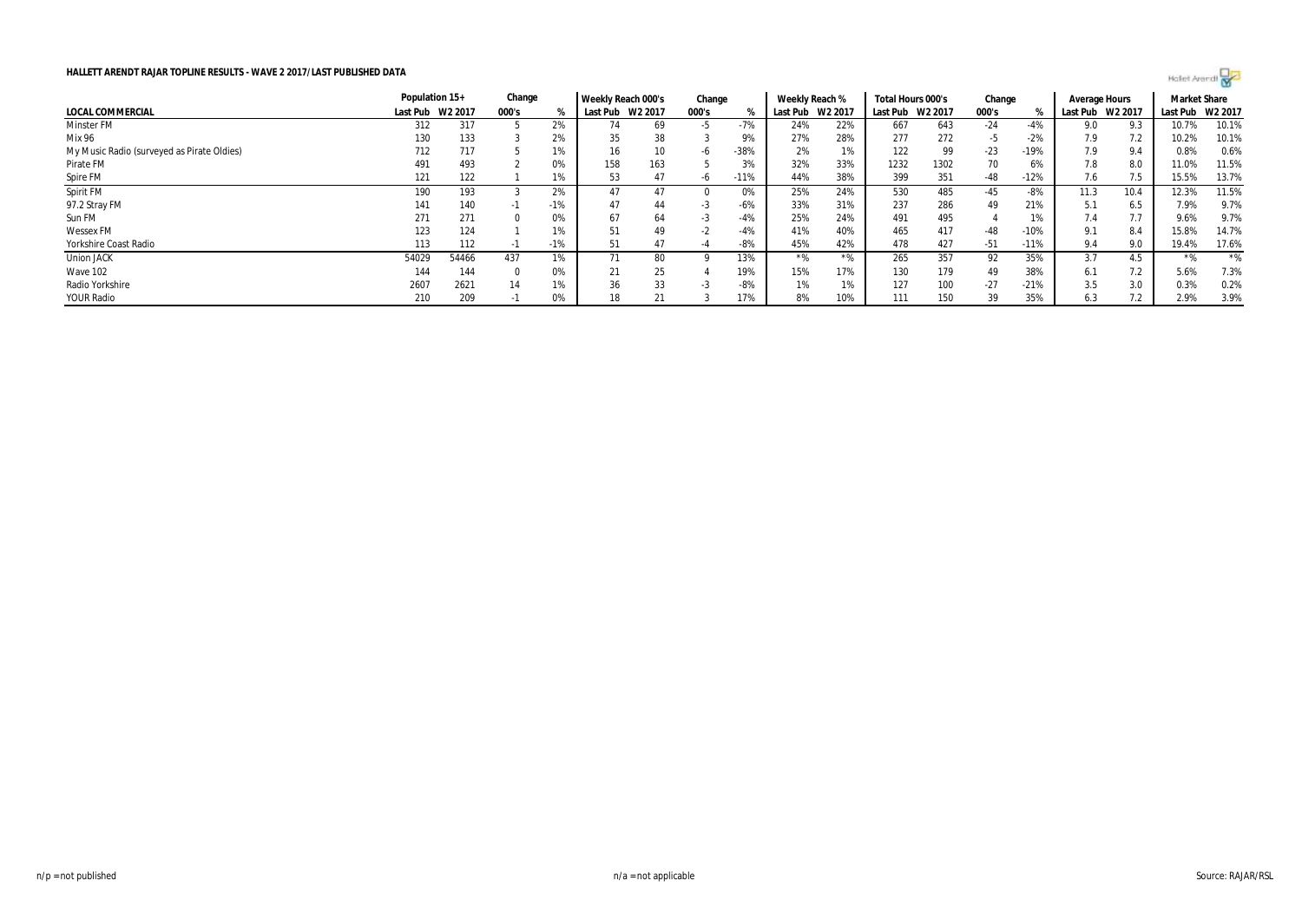

| HALLETT ARENDT RAJAR TOPLINE RESULTS - WAVE 2 2017/LAST PUBLISHED DATA<br>Hollet Arendt |                |         |        |       |                    |     |        |        |                |                     |                                 |      |            |        |                     |      |                     |         |
|-----------------------------------------------------------------------------------------|----------------|---------|--------|-------|--------------------|-----|--------|--------|----------------|---------------------|---------------------------------|------|------------|--------|---------------------|------|---------------------|---------|
|                                                                                         | Population 15+ |         | Change |       | Weekly Reach 000's |     | Change |        | Weekly Reach % |                     | Total Hours 000's               |      | Change     |        | Average Hours       |      | <b>Market Share</b> |         |
| LOCAL COMMERCIAL                                                                        | Last Pub       | W2 2017 | 000's  | %     | Last Pub W2 2017   |     | 000's  |        |                | W2 2017<br>Last Pub | Last Pub<br>W <sub>2</sub> 2017 |      | 000's<br>% |        | W2 2017<br>Last Pub |      | Last Pub            | W2 2017 |
| <b>Minster FM</b>                                                                       | 312            | 317     |        | 2%    |                    | 69  | -5     | $-7%$  | 24%            | 22%                 | 667                             | 643  | $-24$      | $-4%$  | 9.0                 | 9.3  | 10.7%               | 10.1%   |
| Mix 96                                                                                  | 130            | 133     |        | 2%    | 35                 | 38  |        | 9%     | 27%            | 28%                 | 277                             | 272  | -5         | $-2%$  | 7.9                 | 7.2  | 10.2%               | 10.1%   |
| My Music Radio (surveyed as Pirate Oldies)                                              | 712            | 717     |        | 1%    | 16                 | 10  | -b     | $-38%$ | 2%             | 1%                  | 122                             | 99   | $-23$      | $-19%$ | 7.9                 | 9.4  | 0.8%                | 0.6%    |
| Pirate FM                                                                               | 491            | 493     |        | 0%    | 158                | 163 |        | 3%     | 32%            | 33%                 | 1232                            | 1302 | 70         | 6%     | 7.8                 | 8.0  | 11.0%               | 11.5%   |
| Spire FM                                                                                | 121            | 122     |        | 1%    | 53                 | 47  | -h     | $-11%$ | 44%            | 38%                 | 399                             | 351  | -48        | $-12%$ | 7.6                 | 7.5  | 15.5%               | 13.7%   |
| Spirit FM                                                                               | 190            | 193     |        | 2%    | 47                 | 47  |        | 0%     | 25%            | 24%                 | 530                             | 485  | -45        | -8%    | 11.3                | 10.4 | 12.3%               | 11.5%   |
| 97.2 Stray FM                                                                           | 141            | 140     | - 1    | $-1%$ | 47                 | 44  | -3     | $-6%$  | 33%            | 31%                 | 237                             | 286  | 49         | 21%    | 5.1                 | 6.5  | 7.9%                | 9.7%    |
| Sun FM                                                                                  | 271            | 271     |        | 0%    | 67                 | 64  | -3     | $-4%$  | 25%            | 24%                 | 491                             | 495  |            | 1%     | 7.4                 | 7.7  | 9.6%                | 9.7%    |
| <b>Wessex FM</b>                                                                        | 123            | 124     |        | 1%    | 51                 | 49  | -2     | $-4%$  | 41%            | 40%                 | 465                             | 417  | -48        | $-10%$ | 9.1                 | 8.4  | 15.8%               | 14.7%   |
| Yorkshire Coast Radio                                                                   | 113            | 112     | - 11   | $-1%$ | 51                 | 47  |        | $-8%$  | 45%            | 42%                 | 478                             | 427  | $-51$      | $-11%$ | 9.4                 | 9.0  | 19.4%               | 17.6%   |
| <b>Union JACK</b>                                                                       | 54029          | 54466   | 437    | 1%    | 71                 | 80  |        | 13%    | $*$ %          | $*$ %               | 265                             | 357  | 92         | 35%    | 3.7                 | 4.5  | $*$ %               | $*$ %   |
| Wave 102                                                                                | 144            | 144     |        | 0%    | 21                 | 25  |        | 19%    | 15%            | 17%                 | 130                             | 179  | 49         | 38%    | 6.1                 | 7.2  | 5.6%                | 7.3%    |
| Radio Yorkshire                                                                         | 2607           | 2621    | 14     | 1%    | 36                 | 33  | -3     | $-8%$  | 1%             | 1%                  | 127                             | 100  | $-27$      | $-21%$ | 3.5                 | 3.0  | 0.3%                | 0.2%    |
| <b>YOUR Radio</b>                                                                       | 210            | 209     | - 1    | 0%    |                    | 21  |        | 17%    | 8%             | 10%                 | 111                             | 150  | 39         | 35%    | 6.3                 | 7.2  | 2.9%                | 3.9%    |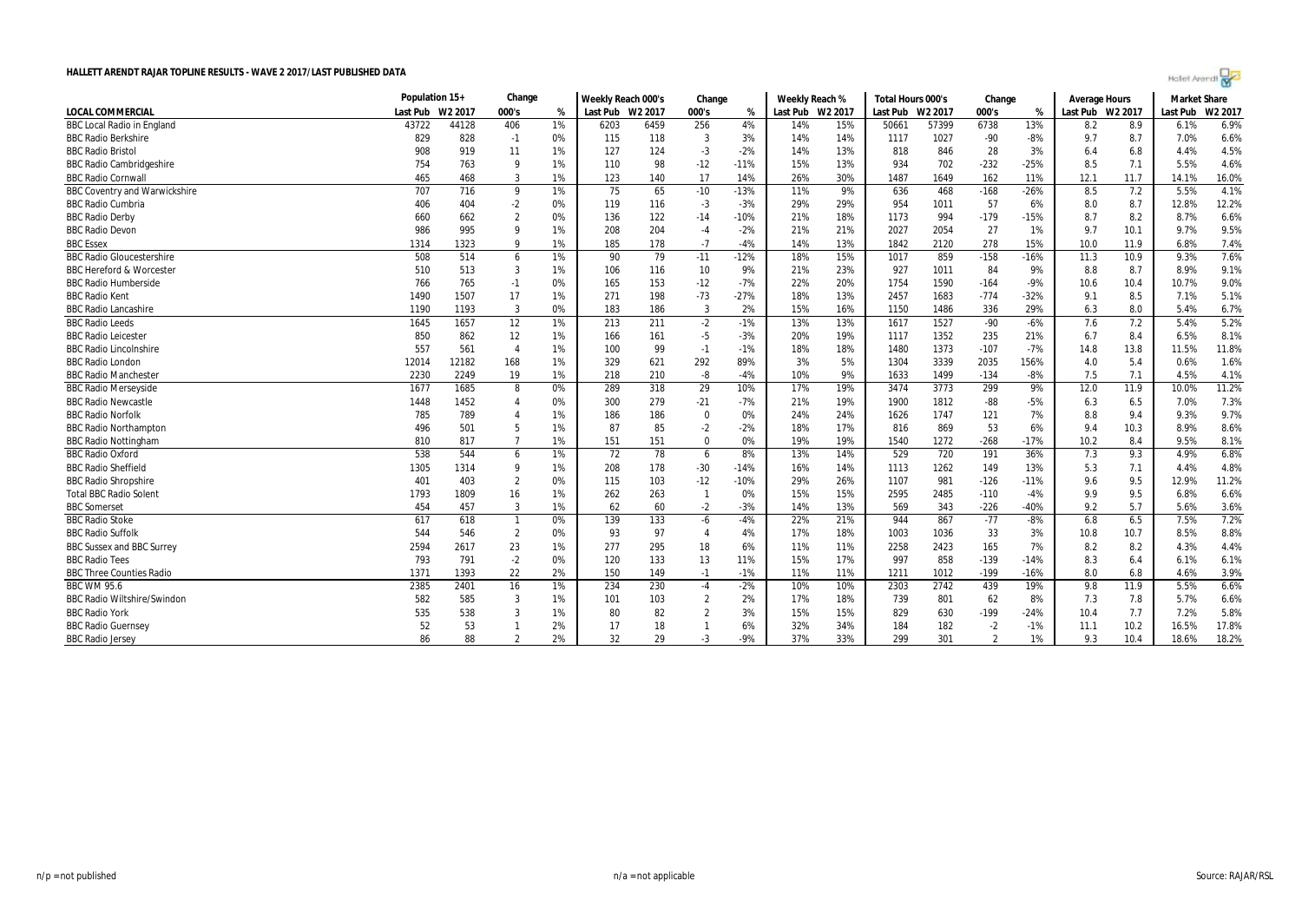| Holet Arendi |  |
|--------------|--|
|--------------|--|

|                                      | Population 15+ |         | Change         |    | Weekly Reach 000's<br>Change |      | Weekly Reach % |        | Total Hours 000's |         | Change   |                     | Average Hours |        | <b>Market Share</b> |      |          |         |
|--------------------------------------|----------------|---------|----------------|----|------------------------------|------|----------------|--------|-------------------|---------|----------|---------------------|---------------|--------|---------------------|------|----------|---------|
| <b>LOCAL COMMERCIAL</b>              | Last Pub       | W2 2017 | 000's          | %  | Last Pub W2 2017             |      | 000's          | %      | Last Pub          | W2 2017 | Last Pub | W <sub>2</sub> 2017 | 000's         | %      | Last Pub W2 2017    |      | Last Pub | W2 2017 |
| <b>BBC Local Radio in England</b>    | 43722          | 44128   | 406            | 1% | 6203                         | 6459 | 256            | 4%     | 14%               | 15%     | 50661    | 57399               | 6738          | 13%    | 8.2                 | 8.9  | 6.1%     | 6.9%    |
| <b>BBC Radio Berkshire</b>           | 829            | 828     | $-1$           | 0% | 115                          | 118  | 3              | 3%     | 14%               | 14%     | 1117     | 1027                | $-90$         | $-8%$  | 9.7                 | 8.7  | 7.0%     | 6.6%    |
| <b>BBC Radio Bristol</b>             | 908            | 919     | 11             | 1% | 127                          | 124  | $-3$           | $-2%$  | 14%               | 13%     | 818      | 846                 | 28            | 3%     | 6.4                 | 6.8  | 4.4%     | 4.5%    |
| <b>BBC Radio Cambridgeshire</b>      | 754            | 763     | 9              | 1% | 110                          | 98   | $-12$          | $-11%$ | 15%               | 13%     | 934      | 702                 | $-232$        | $-25%$ | 8.5                 | 7.1  | 5.5%     | 4.6%    |
| <b>BBC Radio Cornwall</b>            | 465            | 468     | 3              | 1% | 123                          | 140  | 17             | 14%    | 26%               | 30%     | 1487     | 1649                | 162           | 11%    | 12.1                | 11.7 | 14.1%    | 16.0%   |
| <b>BBC Coventry and Warwickshire</b> | 707            | 716     | 9              | 1% | 75                           | 65   | $-10$          | $-13%$ | 11%               | 9%      | 636      | 468                 | $-168$        | $-26%$ | 8.5                 | 7.2  | 5.5%     | 4.1%    |
| <b>BBC Radio Cumbria</b>             | 406            | 404     | $-2$           | 0% | 119                          | 116  | $-3$           | $-3%$  | 29%               | 29%     | 954      | 1011                | 57            | 6%     | 8.0                 | 8.7  | 12.8%    | 12.2%   |
| <b>BBC Radio Derby</b>               | 660            | 662     | $\overline{2}$ | 0% | 136                          | 122  | $-14$          | $-10%$ | 21%               | 18%     | 1173     | 994                 | $-179$        | $-15%$ | 8.7                 | 8.2  | 8.7%     | 6.6%    |
| <b>BBC Radio Devon</b>               | 986            | 995     | $\mathbf{Q}$   | 1% | 208                          | 204  | $-4$           | $-2%$  | 21%               | 21%     | 2027     | 2054                | 27            | 1%     | 9.7                 | 10.1 | 9.7%     | 9.5%    |
| <b>BBC</b> Essex                     | 1314           | 1323    | 9              | 1% | 185                          | 178  | $-7$           | $-4%$  | 14%               | 13%     | 1842     | 2120                | 278           | 15%    | 10.0                | 11.9 | 6.8%     | 7.4%    |
| <b>BBC Radio Gloucestershire</b>     | 508            | 514     | 6              | 1% | 90                           | 79   | $-11$          | $-12%$ | 18%               | 15%     | 1017     | 859                 | $-158$        | $-16%$ | 11.3                | 10.9 | 9.3%     | 7.6%    |
| <b>BBC Hereford &amp; Worcester</b>  | 510            | 513     | 3              | 1% | 106                          | 116  | 10             | 9%     | 21%               | 23%     | 927      | 1011                | 84            | 9%     | 8.8                 | 8.7  | 8.9%     | 9.1%    |
| <b>BBC Radio Humberside</b>          | 766            | 765     | $-1$           | 0% | 165                          | 153  | $-12$          | $-7%$  | 22%               | 20%     | 1754     | 1590                | $-164$        | $-9%$  | 10.6                | 10.4 | 10.7%    | 9.0%    |
| <b>BBC Radio Kent</b>                | 1490           | 1507    | 17             | 1% | 271                          | 198  | $-73$          | $-27%$ | 18%               | 13%     | 2457     | 1683                | $-774$        | $-32%$ | 9.1                 | 8.5  | 7.1%     | 5.1%    |
| <b>BBC Radio Lancashire</b>          | 1190           | 1193    | 3              | 0% | 183                          | 186  | 3              | 2%     | 15%               | 16%     | 1150     | 1486                | 336           | 29%    | 6.3                 | 8.0  | 5.4%     | 6.7%    |
| <b>BBC Radio Leeds</b>               | 1645           | 1657    | 12             | 1% | 213                          | 211  | $-2$           | $-1%$  | 13%               | 13%     | 1617     | 1527                | $-90$         | $-6%$  | 7.6                 | 7.2  | 5.4%     | 5.2%    |
| <b>BBC Radio Leicester</b>           | 850            | 862     | 12             | 1% | 166                          | 161  | $-5$           | $-3%$  | 20%               | 19%     | 1117     | 1352                | 235           | 21%    | 6.7                 | 8.4  | 6.5%     | 8.1%    |
| <b>BBC Radio Lincolnshire</b>        | 557            | 561     | $\overline{4}$ | 1% | 100                          | 99   | $-1$           | $-1%$  | 18%               | 18%     | 1480     | 1373                | $-107$        | $-7%$  | 14.8                | 13.8 | 11.5%    | 11.8%   |
| <b>BBC Radio London</b>              | 12014          | 12182   | 168            | 1% | 329                          | 621  | 292            | 89%    | 3%                | 5%      | 1304     | 3339                | 2035          | 156%   | 4.0                 | 5.4  | 0.6%     | 1.6%    |
| <b>BBC Radio Manchester</b>          | 2230           | 2249    | 19             | 1% | 218                          | 210  | -8             | $-4%$  | 10%               | 9%      | 1633     | 1499                | $-134$        | $-8%$  | 7.5                 | 7.1  | 4.5%     | 4.1%    |
| <b>BBC Radio Merseyside</b>          | 1677           | 1685    | 8              | 0% | 289                          | 318  | 29             | 10%    | 17%               | 19%     | 3474     | 3773                | 299           | 9%     | 12.0                | 11.9 | 10.0%    | 11.2%   |
| <b>BBC Radio Newcastle</b>           | 1448           | 1452    | $\overline{4}$ | 0% | 300                          | 279  | $-21$          | $-7%$  | 21%               | 19%     | 1900     | 1812                | $-88$         | $-5%$  | 6.3                 | 6.5  | 7.0%     | 7.3%    |
| <b>BBC Radio Norfolk</b>             | 785            | 789     | $\overline{4}$ | 1% | 186                          | 186  | $\mathbf 0$    | 0%     | 24%               | 24%     | 1626     | 1747                | 121           | 7%     | 8.8                 | 9.4  | 9.3%     | 9.7%    |
| <b>BBC Radio Northampton</b>         | 496            | 501     | -5             | 1% | 87                           | 85   | $-2$           | $-2%$  | 18%               | 17%     | 816      | 869                 | 53            | 6%     | 9.4                 | 10.3 | 8.9%     | 8.6%    |
| <b>BBC Radio Nottingham</b>          | 810            | 817     | $\overline{7}$ | 1% | 151                          | 151  | $\Omega$       | 0%     | 19%               | 19%     | 1540     | 1272                | $-268$        | $-17%$ | 10.2                | 8.4  | 9.5%     | 8.1%    |
| <b>BBC Radio Oxford</b>              | 538            | 544     | 6              | 1% | 72                           | 78   | 6              | 8%     | 13%               | 14%     | 529      | 720                 | 191           | 36%    | 7.3                 | 9.3  | 4.9%     | 6.8%    |
| <b>BBC Radio Sheffield</b>           | 1305           | 1314    | 9              | 1% | 208                          | 178  | $-30$          | $-14%$ | 16%               | 14%     | 1113     | 1262                | 149           | 13%    | 5.3                 | 7.1  | 4.4%     | 4.8%    |
| <b>BBC Radio Shropshire</b>          | 401            | 403     | $\overline{2}$ | 0% | 115                          | 103  | $-12$          | $-10%$ | 29%               | 26%     | 1107     | 981                 | $-126$        | $-11%$ | 9.6                 | 9.5  | 12.9%    | 11.2%   |
| <b>Total BBC Radio Solent</b>        | 1793           | 1809    | 16             | 1% | 262                          | 263  | $\mathbf{1}$   | 0%     | 15%               | 15%     | 2595     | 2485                | $-110$        | $-4%$  | 9.9                 | 9.5  | 6.8%     | 6.6%    |
| <b>BBC</b> Somerset                  | 454            | 457     | 3              | 1% | 62                           | 60   | $-2$           | $-3%$  | 14%               | 13%     | 569      | 343                 | $-226$        | $-40%$ | 9.2                 | 5.7  | 5.6%     | 3.6%    |
| <b>BBC Radio Stoke</b>               | 617            | 618     | $\mathbf{1}$   | 0% | 139                          | 133  | $-6$           | $-4%$  | 22%               | 21%     | 944      | 867                 | $-77$         | $-8%$  | 6.8                 | 6.5  | 7.5%     | 7.2%    |
| <b>BBC Radio Suffolk</b>             | 544            | 546     | $\overline{2}$ | 0% | 93                           | 97   | $\overline{4}$ | 4%     | 17%               | 18%     | 1003     | 1036                | 33            | 3%     | 10.8                | 10.7 | 8.5%     | 8.8%    |
| <b>BBC Sussex and BBC Surrey</b>     | 2594           | 2617    | 23             | 1% | 277                          | 295  | 18             | 6%     | 11%               | 11%     | 2258     | 2423                | 165           | 7%     | 8.2                 | 8.2  | 4.3%     | 4.4%    |
| <b>BBC Radio Tees</b>                | 793            | 791     | $-2$           | 0% | 120                          | 133  | 13             | 11%    | 15%               | 17%     | 997      | 858                 | $-139$        | $-14%$ | 8.3                 | 6.4  | 6.1%     | 6.1%    |
| <b>BBC Three Counties Radio</b>      | 1371           | 1393    | 22             | 2% | 150                          | 149  | $-1$           | $-1%$  | 11%               | 11%     | 1211     | 1012                | $-199$        | $-16%$ | 8.0                 | 6.8  | 4.6%     | 3.9%    |
| <b>BBC WM 95.6</b>                   | 2385           | 2401    | 16             | 1% | 234                          | 230  | $-4$           | $-2%$  | 10%               | 10%     | 2303     | 2742                | 439           | 19%    | 9.8                 | 11.9 | 5.5%     | 6.6%    |
| <b>BBC Radio Wiltshire/Swindon</b>   | 582            | 585     | 3              | 1% | 101                          | 103  | $\overline{2}$ | 2%     | 17%               | 18%     | 739      | 801                 | 62            | 8%     | 7.3                 | 7.8  | 5.7%     | 6.6%    |
| <b>BBC Radio York</b>                | 535            | 538     | 3              | 1% | 80                           | 82   | $\overline{2}$ | 3%     | 15%               | 15%     | 829      | 630                 | $-199$        | $-24%$ | 10.4                | 7.7  | 7.2%     | 5.8%    |
| <b>BBC Radio Guernsey</b>            | 52             | 53      |                | 2% | -17                          | 18   | -1             | 6%     | 32%               | 34%     | 184      | 182                 | $-2$          | $-1%$  | 11.1                | 10.2 | 16.5%    | 17.8%   |
| <b>BBC Radio Jersey</b>              | 86             | 88      | $\overline{2}$ | 2% | 32                           | 29   | $-3$           | -9%    | 37%               | 33%     | 299      | 301                 |               | 1%     | 9.3                 | 10.4 | 18.6%    | 18.2%   |